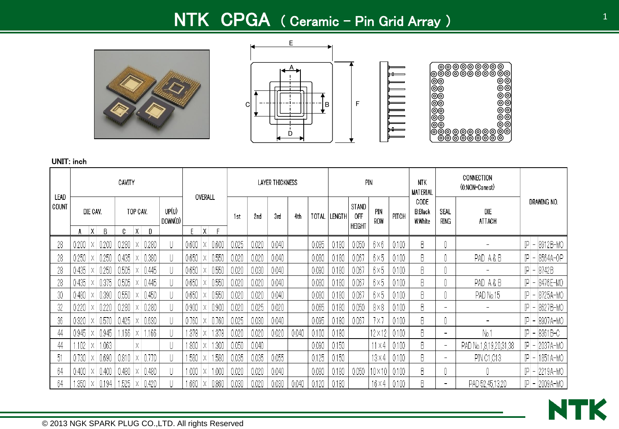# NTK CPGA ( Ceramic – Pin Grid Array )







<u>IIIII</u>

| LEAD  |       |          |       | CAVITY |              |       |                  |       | OVERALL      |       |       |       | LAYER THICKNESS |       |       |        |                        | PIN            |       | <b>NTK</b><br><b>MATERIAL</b>     |                          | CONNECTION<br>(0:NON-Conect) |         |                     |
|-------|-------|----------|-------|--------|--------------|-------|------------------|-------|--------------|-------|-------|-------|-----------------|-------|-------|--------|------------------------|----------------|-------|-----------------------------------|--------------------------|------------------------------|---------|---------------------|
| COUNT |       | DIE CAV. |       |        | TOP CAV.     |       | UP(U)<br>DOWN(D) |       |              |       | 1st   | 2nd   | 3rd             | 4th   | TOTAL | Length | STAND<br>0FF<br>HEIGHT | PIN<br>ROW     | PITCH | CODE<br><b>B:Black</b><br>W:White | SEAL<br>ring             | DIE<br>ATTACH                |         | DRAWING NO.         |
|       | A     | Χ        | В     | C      | $\mathsf{X}$ | D     |                  | E     | $\mathsf{X}$ | F.    |       |       |                 |       |       |        |                        |                |       |                                   |                          |                              |         |                     |
| 28    | 0.200 |          | 0.200 | 0.280  |              | 0.280 |                  | 0.600 |              | 0.600 | 0.025 | 0.020 | 0.040           |       | 0.085 | 0.180  | 0.050                  | $6\times6$     | 0.100 | B                                 |                          |                              |         | $ P  -  8912B - MO$ |
| 28    | 0.250 | X.       | 0.250 | 0.435  | Х            | 0.380 |                  | 0.650 | X.           | 0.550 | 0.020 | 0.020 | 0.040           |       | 0.080 | 0.180  | 0.067                  | $6\times5$     | 0.100 | B                                 |                          | PAD A&B                      | $ P $ – | 8564A-OP            |
| 28    | 0.435 | Χ        | 0.250 | 0.505  |              | 0.445 |                  | 0.650 |              | 0.550 | 0.020 | 0.030 | 0.040           |       | 0.090 | 0.180  | 0.067                  | $6\times5$     | 0.100 | B.                                |                          |                              |         | $ P  - 8742B$       |
| 28    | 0.435 | Х        | 0.375 | 0.505  |              | 0.445 |                  | 0.650 | X.           | 0.550 | 0.020 | 0.020 | 0.040           |       | 0.080 | 0.180  | 0.067                  | $6\times5$     | 0.100 | B                                 |                          | PAD A&B                      |         | $ P  -  8476E - MO$ |
| 30    | 0.480 |          | 0.390 | 0.550  |              | 0.450 |                  | 0.650 |              | 0.550 | 0.020 | 0.020 | 0.040           |       | 0.080 | 0.180  | 0.067                  | $6\times5$     | 0.100 | B                                 |                          | PAD No.15                    |         | IPI - 18725A-MO     |
| 32    | 0.220 |          | 0.220 | 0.280  |              | 0.280 |                  | 0.900 |              | 0.900 | 0.020 | 0.025 | 0.020           |       | 0.065 | 0.180  | 0.050                  | $8\times8$     | 0.100 | B                                 | $\overline{\phantom{0}}$ |                              | $ P $ – | 8627B-MO            |
| 36    | 0.320 | Χ        | 0.570 | 0.425  |              | 0.630 |                  | 0.760 |              | 0.760 | 0.025 | 0.030 | 0.040           |       | 0.095 | 0.180  | 0.067                  | 7χ,            | 0.100 | B                                 |                          |                              | $ P  -$ | 8907A-MO            |
| 44    | 0.945 | Х        | 0.945 | .166   | Х            | 1.166 |                  | .378  | Х            | .378  | 0.020 | 0.020 | 0.020           | 0.040 | 0.100 | 0.180  |                        | $12 \times 12$ | 0.100 | B                                 | $\overline{\phantom{a}}$ | No.1                         |         | $ P  -  8361B - C $ |
| 44    | .102  | Х        | 1.063 |        | Χ            |       |                  | 1.800 | X.           | .300  | 0.050 | 0.040 |                 |       | 0.090 | 0.150  |                        | $11\times4$    | 0.100 | B                                 | $\overline{\phantom{a}}$ | PAD No.1,8,19,20,31,38       |         | $ P  - 2037A$ -MO   |
| 51    | 0.730 | X        | 0.690 | 0.810  |              | 0.770 | U                | .580  | Χ            | .580  | 0.035 | 0.035 | 0.055           |       | 0.125 | 0.150  |                        | $13\times4$    | 0.100 | B                                 | $\overline{\phantom{0}}$ | PIN 01,013                   | $ P -$  | 1851A-MO            |
| 64    | 0.400 | $\times$ | 0.400 | 0.480  |              | 0.480 |                  | 1.000 | Χ            | 1.000 | 0.020 | 0.020 | 0.040           |       | 0.080 | 0.180  | 0.050                  | 10×10          | 0.100 | B.                                |                          |                              |         | $ P  - 2219A-MO$    |
| 64    | .350  | Х        | 0.194 | .525   |              | 0.420 |                  | .660  |              | 0.860 | 0.030 | 0.020 | 0.030           | 0.040 | 0.120 | 0.180  |                        | 16 × 4         | 0.100 | B                                 | $\overline{\phantom{0}}$ | PAD 52,45,13,20              |         | IP - 2009A-MO       |

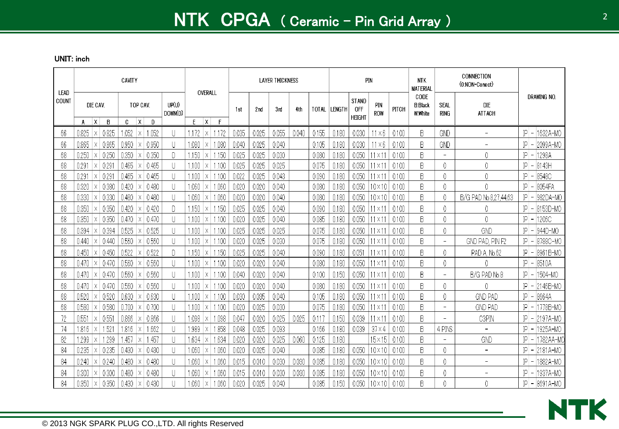| LEAD     |                                                   | CAVITY                                     |                                   | OVERALL                                  |                |                | <b>LAYER THICKNESS</b> |       |                |                |                                             | PIN                         |                | <b>NTK</b><br><b>MATERIAL</b>     |                          | CONNECTION<br>(0:NON-Conect) |                                             |
|----------|---------------------------------------------------|--------------------------------------------|-----------------------------------|------------------------------------------|----------------|----------------|------------------------|-------|----------------|----------------|---------------------------------------------|-----------------------------|----------------|-----------------------------------|--------------------------|------------------------------|---------------------------------------------|
| COUNT    | DIE CAV.                                          | TOP CAV.<br>$c \times$                     | UP(U)<br>DOWN(D)                  |                                          | 1st            | 2nd            | 3rd                    | 4th   | TOTAL          | <b>LENGTH</b>  | <b>STAND</b><br><b>OFF</b><br><b>HEIGHT</b> | PIN<br>ROW                  | PITCH          | CODE<br><b>B:Black</b><br>W:White | SEAL<br><b>RING</b>      | DIE<br><b>ATTACH</b>         | DRAWING NO.                                 |
|          | X <br>B<br>А                                      | D                                          |                                   | E.<br>$\mathsf{X}$<br>F                  |                |                |                        |       | 0.155          |                |                                             |                             |                |                                   |                          | $\overline{\phantom{0}}$     | IP                                          |
| 66       | 0.825<br>0.825<br>Χ                               | 1.052<br>1.052<br>Х                        | U                                 | 1.172<br>.172<br>X                       | 0.035          | 0.025          | 0.055                  | 0.040 |                | 0.180          | 0.030                                       | 11 × 6                      | 0.100          | B                                 | GND                      |                              | 1632A-MO                                    |
| 66       | 0.865<br>0.865<br>Х<br>0.250<br>0.250<br>$\times$ | 0.950<br>0.950<br>Х<br>0.350<br>0.350<br>Х | $\mathsf{U}$<br>D                 | 1.080<br>.080<br>X<br>1.150<br>.150<br>X | 0.040<br>0.025 | 0.025<br>0.025 | 0.040<br>0.030         |       | 0.105<br>0.080 | 0.180<br>0.180 | 0.030<br>0.050                              | $11 \times 6$<br>$\times 1$ | 0.100<br>0.100 | B<br>B                            | GND<br>-                 | 0                            | IP<br>2099A-MO<br>IP<br>1298A               |
| 68<br>68 | 0.291<br>0.291<br>$\times$                        | 0.465<br>0.465<br>Χ                        | $\mathbf{  }$                     | 1.100<br>.100<br>Χ                       | 0.025          | 0.025          | 0.025                  |       | 0.075          | 0.180          | 0.050                                       | $\times$ 1                  | 0.100          | B                                 | 0                        | 0                            | IP<br>8143H                                 |
| 68       | 0.291<br>0.291<br>$\times$                        | 0.465<br>0.465<br>$\times$                 | $\left\vert \right\vert$          | 1.100<br>-100<br>X                       | 0.022          | 0.025          | 0.043                  |       | 0.090          | 0.180          | 0.050                                       | $\times$ 1                  | 0.100          | B                                 | 0                        | 0                            | IP<br>8548C                                 |
| 68       | 0.380<br>0.320<br>Χ                               | 0.420<br>0.480<br>Χ                        | $\cup$                            | 1.060<br>.060<br>Χ                       | 0.020          | 0.020          | 0.040                  |       | 0.080          | 0.180          | 0.050                                       | $10\times10$                | 0.100          | B                                 | 0                        | 0                            | IP<br>$-8054FA$                             |
| 68       | 0.330<br>0.330<br>$\times$                        | 0.480<br>0.480<br>Χ                        | U                                 | 1.060<br>.060<br>Х                       | 0.020          | 0.020          | 0.040                  |       | 0.080          | 0.180          | 0.050                                       | 10×10                       | 0.100          | B                                 |                          | B/G PAD No.8,27,44,63        | IP<br>982DA-MO<br>$\overline{\phantom{a}}$  |
| 68       | 0.350<br>0.350<br>Х                               | 0.420<br>0.420<br>Х                        | D                                 | 1.150<br>.150<br>Х                       | 0.025          | 0.025          | 0.040                  |       | 0.090          | 0.180          | 0.050                                       | - X 1                       | 0.100          | B                                 | 0                        | 0                            | IP<br>8153D-MO                              |
| 68       | 0.350<br>0.350<br>$\times$                        | 0.470<br>0.470<br>Χ                        |                                   | .100<br>1.100<br>Χ                       | 0.020          | 0.025          | 0.040                  |       | 0.085          | 0.180          | 0.050                                       | $\times 1$                  | 0.100          | B                                 | 0                        | 0                            | IP<br>1206C                                 |
| 68       | 0.394<br>0.394<br>$\times$                        | 0.525<br>0.525<br>Χ                        | $\mathbf{  }$                     | 1.100<br>100<br>X                        | 0.025          | 0.025          | 0.025                  |       | 0.075          | 0.180          | 0.050                                       | $1\times1$                  | 0.100          | B                                 | 0                        | GND                          | 944D-MO<br>IP<br>$\overline{\phantom{0}}$   |
| 68       | 0.440<br>0.440<br>$\times$                        | 0.560<br>0.560<br>X                        | U                                 | 1.100<br>.100<br>Χ                       | 0.020          | 0.025          | 0.030                  |       | 0.075          | 0.180          | 0.050                                       | $\times$ 1                  | 0.100          | B                                 | $\overline{\phantom{a}}$ | GND PAD, PIN F2              | 8788C-MC<br>IP<br>$\overline{\phantom{m}}$  |
| 68       | 0.450<br>0.450<br>Χ                               | 0.522<br>0.522<br>Х                        | D                                 | 1.150<br>.150<br>X.                      | 0.025          | 0.025          | 0.040                  |       | 0.090          | 0.180          | 0.051                                       | $\times$ 1                  | 0.100          | B                                 |                          | PAD A, No.62                 | IP<br>8961B-MO                              |
| 68       | 0.470<br>0.470<br>Χ                               | 0.560<br>0.560<br>Х                        | U                                 | 1.100<br>.100<br>Χ                       | 0.020          | 0.020          | 0.040                  |       | 0.080          | 0.180          | 0.050                                       | $\times 1$                  | 0.100          | B                                 | 0                        |                              | IP<br>8510A<br>$\overline{\phantom{a}}$     |
| 68       | 0.470<br>0.470<br>$\times$                        | 0.560<br>0.560<br>Χ                        | $\mathsf{U}% _{t}\left( t\right)$ | 1.100<br>-100<br>Χ                       | 0.040          | 0.020          | 0.040                  |       | 0.100          | 0.150          | 0.050                                       | $\times$ 1                  | 0.100          | B                                 | $\overline{\phantom{a}}$ | B/G PAD No.8                 | IP<br>1504-MO                               |
| 68       | 0.470<br>0.470<br>Х                               | 0.560<br>0.560<br>Х                        | $\left\vert \right\vert$          | 1,100<br>100<br>Χ                        | 0.020          | 0.020          | 0.040                  |       | 0.080          | 0.180          | 0.050                                       | $1\times1$                  | 0.100          | B                                 | 0                        | 0                            | IP<br>2146B-MO<br>$\overline{\phantom{a}}$  |
| 68       | 0.520<br>0.520<br>$\times$                        | 0.630<br>0.630<br>Х                        | U                                 | .100<br>1.100<br>X                       | 0.030          | 0.035          | 0.040                  |       | 0.105          | 0.180          | 0.050                                       | $\times$ 1                  | 0.100          | B                                 | 0                        | <b>GND PAD</b>               | ΙP<br>8664A<br>$\overline{\phantom{a}}$     |
| 68       | 0.580<br>0.580<br>Χ                               | 0.700<br>0.700<br>Х                        | U                                 | 1.100<br>.100<br>Х                       | 0.020          | 0.025          | 0.030                  |       | 0.075          | 0.180          | 0.050                                       | $\times$ 1                  | 0.100          | B                                 | $\overline{\phantom{a}}$ | <b>GND PAD</b>               | 1778B-MO<br>IP                              |
| 72       | 0.551<br>0.551<br>Χ                               | 0.866<br>0.866                             | U                                 | .098<br>l .098                           | 0.047          | 0.020          | 0.025                  | 0.025 | 0.117          | 0.150          | 0.039                                       | - x 1                       | 0.100          | B                                 | $\overline{\phantom{a}}$ | C3PIN                        | ΙP<br>2197A-MO                              |
| 74       | 1.816<br>1.521<br>$\times$                        | 1.816<br>1.662<br>$\times$                 | $\cup$                            | .858<br>.989<br>Χ                        | 0.048          | 0.025          | 0.093                  |       | 0.166          | 0.180          | 0.039                                       | $37 \times 4$               | 0.100          | B                                 | 4 PINS                   | $\overline{a}$               | IP<br>1925A-MO<br>$\overline{\phantom{a}}$  |
| 82       | .299<br>.299<br>$\times$                          | .457<br>.457<br>Χ                          | U                                 | 1.634<br>.634<br>$\times$                | 0.020          | 0.020          | 0.025                  | 0.060 | 0.125          | 0.180          |                                             | $15\times15$                | 0.100          | B                                 | $\overline{\phantom{a}}$ | GND                          | IP<br>1782AA-M(<br>$\overline{\phantom{a}}$ |
| 84       | 0.235<br>0.235<br>Χ                               | 0.430<br>0.430<br>Х                        | U                                 | 1.060<br>.060<br>Χ                       | 0.020          | 0.025          | 0.040                  |       | 0.085          | 0.180          | 0.050                                       | $10 \times 10$              | 0.100          | B                                 | 0                        | $\overline{a}$               | IP<br>2181A-MO<br>$\overline{ }$            |
| 84       | 0.240<br>0.240<br>$\times$                        | 0.480<br>0.480<br>Χ                        | U                                 | 1.060<br>.060<br>Χ                       | 0.015          | 0.010          | 0.030                  | 0.030 | 0.085          | 0.180          | 0.050                                       | 10×10                       | 0.100          | B                                 | 0                        | $\overline{\phantom{0}}$     | ΙP<br>1882A-MO<br>$\overline{\phantom{m}}$  |
| 84       | 0.300<br>0.300<br>Χ                               | 0.480<br>0.480                             |                                   | .060<br>.060                             | 0.015          | 0.010          | 0.030                  | 0.030 | 0.085          | 0.180          | 0.050                                       | 10×10                       | 0.100          | B                                 |                          |                              | IP<br>1937A-MO                              |
| 84       | 0.350<br>0.350<br>Х                               | 0.430<br>0.430<br>Χ                        |                                   | .060<br>.060<br>Χ                        | 0.020          | 0.025          | 0.040                  |       | 0.085          | 0.150          | 0.050                                       | 10×10                       | 0.100          | B                                 | 0                        | 0                            | $ P  - 8691A - MO$                          |

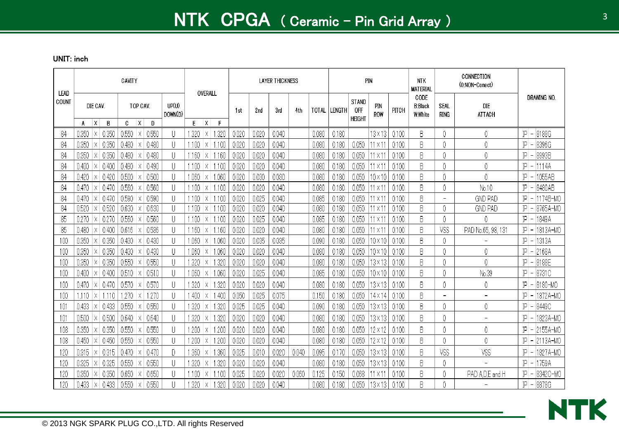| LEAD  |       |                      | CAVITY       |                               |                         | OVERALL                              |       |       | <b>LAYER THICKNESS</b> |       |              |               | PIN                                         |                   |       | <b>NTK</b><br><b>MATERIAL</b>     |                          | CONNECTION<br>(0:NON-Conect) |                                            |
|-------|-------|----------------------|--------------|-------------------------------|-------------------------|--------------------------------------|-------|-------|------------------------|-------|--------------|---------------|---------------------------------------------|-------------------|-------|-----------------------------------|--------------------------|------------------------------|--------------------------------------------|
| COUNT | A     | DIE CAV.<br> X <br>B | $\mathbf{C}$ | TOP CAV.<br>$\mathsf{X}$<br>D | UP(U)<br>DOWN(D)        | F<br>E.<br>$\mathsf{X}$              | 1st   | 2nd   | 3rd                    | 4th   | <b>TOTAL</b> | <b>LENGTH</b> | <b>STAND</b><br><b>OFF</b><br><b>HEIGHT</b> | <b>PIN</b><br>ROW | PITCH | CODE<br><b>B:Black</b><br>W:White | SEAL<br>ring             | DIE<br>ATTACH                | DRAWING NO.                                |
| 84    | 0.350 | 0.350<br>$\times$    | 0.550        | 0.550<br>Χ                    |                         | 1.320<br>.320<br>Χ                   | 0.020 | 0.020 | 0.040                  |       | 0.080        | 0.180         |                                             | 13×13.            | 0.100 | B                                 | 0                        | 0                            | IP<br>8188G<br>$\overline{\phantom{a}}$    |
| 84    | 0.350 | 0.350                | 0.480        | 0.480<br>X                    |                         | 1.100<br>1.100<br>$\times$           | 0.020 | 0.020 | 0.040                  |       | 0.080        | 0.180         | 0.050                                       | $1\times1$        | 0.100 | B                                 | 0                        | 0                            | IP<br>8396G<br>$\overline{\phantom{a}}$    |
| 84    | 0.350 | 0.350<br>Χ           | 0.480        | 0.480<br>Χ                    | $\overline{\mathsf{I}}$ | 1.160<br>1.160<br>X                  | 0.020 | 0.020 | 0.040                  |       | 0.080        | 0.180         | 0.050                                       | $\times$ 1        | 0.100 | B                                 | 0                        | 0                            | ΙP<br>8993B<br>$\overline{\phantom{a}}$    |
| 84    | 0.400 | 0.400<br>Χ           | 0.490        | 0.490<br>Χ                    | $\mathsf{I}$            | 1.100<br>1.100<br>X.                 | 0.020 | 0.020 | 0.040                  |       | 0.080        | 0.180         | 0.050                                       | $\times$ 1        | 0.100 | B                                 | 0                        | 0                            | P <br>1114A<br>$\overline{a}$              |
| 84    | 0.420 | 0.420<br>Χ           | 0.500        | 0.500<br>Χ                    | $\mathsf{I}$            | 1.060<br>1.060<br>Х                  | 0.020 | 0.030 | 0.030                  |       | 0.080        | 0.180         | 0.05C                                       | 10×10             | 0.100 | B                                 | 0                        | 0                            | IP<br>1055AB                               |
| 84    | 0.470 | 0.470<br>Χ           | 0.560        | 0.560<br>Χ                    |                         | 1.100<br>1.100<br>Х                  | 0.020 | 0.020 | 0.040                  |       | 0.080        | 0.180         | 0.050                                       | $\times$ 1        | 0.100 | B                                 | 0                        | No.10                        | ΙP<br>8480AB<br>$\overline{\phantom{a}}$   |
| 84    | 0.470 | 0.470<br>Χ           | 0.590        | 0.590<br>X                    | $\mathsf{I}$            | 1100<br>1100<br>X                    | 0.020 | 0.025 | 0.040                  |       | 0.085        | 0.180         | 0.050                                       | $\times$ 1        | 0.100 | B                                 | $\overline{\phantom{0}}$ | <b>GND PAD</b>               | 1174B-MO<br>IP                             |
| 84    | 0.520 | 0.520<br>$\times$    | 0.630        | 0.630<br>X                    | U                       | 1.100<br>$\times$ 1.100              | 0.020 | 0.020 | 0.040                  |       | 0.080        | 0.180         | 0.050                                       | $1 \times 1$      | 0.100 | B                                 | 0                        | <b>GND PAD</b>               | IP<br>8765A-MO<br>$\overline{\phantom{a}}$ |
| 85    | 0.270 | 0.270<br>Χ           | 0.560        | 0.560<br>Χ                    | U                       | 1.100<br>-1.100<br>$\pm\mathsf{X}^+$ | 0.020 | 0.025 | 0.040                  |       | 0.085        | 0.180         | 0.050                                       | $1 \times 11$     | 0.100 | B                                 | 0                        | 0                            | IP<br>1849A                                |
| 85    | 0.480 | 0.400                | 0.616        | 0.536                         | $\mathsf{I}$            | 1.160<br>1.160<br>X                  | 0.020 | 0.020 | 0.040                  |       | 0.080        | 0.180         | 0.050                                       | $1 \times 1$      | 0.100 | B                                 | VSS                      | PAD No.65, 98, 131           | IP<br>1813A-MO<br>$\overline{\phantom{a}}$ |
| 100   | 0.350 | 0.350                | 0.430        | 0.430<br>Χ                    | U                       | .060<br>.060<br>Χ                    | 0.020 | 0.035 | 0.035                  |       | 0.090        | 0.180         | 0.050                                       | 10×10             | 0.100 | B                                 | 0                        |                              | IP<br>1313A                                |
| 100   | 0.350 | 0.350                | 0.430        | 0.430                         | U                       | 1.060<br>1.060<br>Χ                  | 0.020 | 0.020 | 0.040                  |       | 0.080        | 0.180         | 0.050                                       | 10×10             | 0.100 | B                                 | 0                        | 0                            | IP<br>2168A<br>$\overline{\phantom{m}}$    |
| 100   | 0.350 | -0.350               | 0.550        | 0.550                         | U                       | .320<br>.320<br>Χ                    | 0.020 | 0.020 | 0.040                  |       | 0.080        | 0.180         | 0.050                                       | 13×13.            | 0.100 | B                                 | 0                        | 0                            | IP<br>8188E                                |
| 100   | 0.400 | 0.400                | 0.510        | 0.510<br>X                    | $\mathsf{I}$            | 1.060<br>1.060<br>Χ                  | 0.020 | 0.025 | 0.040                  |       | 0.085        | 0.180         | 0.050                                       | $10 \times 10$    | 0.100 | B                                 | 0                        | No.39                        | IP<br>  -   8731 C                         |
| 100   | 0.470 | 0.470<br>ΙX          | 0.570        | 0.570<br>Χ                    |                         | .320<br>.320<br>Х                    | 0.020 | 0.020 | 0.040                  |       | 0.080        | 0.180         | 0.050                                       | 3×13              | 0.100 | B                                 | 0                        | 0                            | IP<br>8180-MO<br>$\overline{\phantom{a}}$  |
| 100   | .110  | 1.110<br>ΙX          | 1.270        | 1.270<br>Χ                    | U                       | .400<br>.400<br>X                    | 0.050 | 0.025 | 0.075                  |       | 0.150        | 0.180         | 0.050                                       | 14 x 14           | 0.100 | B                                 | $\overline{\phantom{0}}$ | $\overline{\phantom{0}}$     | IP<br>1872A-MO<br>$\overline{\phantom{a}}$ |
| 10    | 0.433 | 0.433<br>X           | 0.550        | 0.550<br>Χ                    | U                       | .320<br>.320<br>Χ                    | 0.025 | 0.025 | 0.040                  |       | 0.090        | 0.180         | 0.050                                       | $3 \times 13$     | 0.100 | B                                 | 0.                       | 0                            | ΙP<br>8449C<br>$\overline{\phantom{m}}$    |
| 10    | 0.500 | 0.500<br>Χ           | 0.640        | 0.640                         |                         | .320<br>.320<br>Χ                    | 0.020 | 0.020 | 0.040                  |       | 0.080        | 0.180         | 0.050                                       | 13×13             | 0.100 | B                                 | 0                        | $\overline{\phantom{a}}$     | IP<br>1823A-MO                             |
| 108   | 0.350 | 0.350<br>X           | 0.550        | 0.550<br>Χ                    |                         | 1.200<br>1.200<br>ΙX                 | 0.020 | 0.020 | 0.040                  |       | 0.080        | 0.180         | 0.050                                       | 12 × 12           | 0.100 | B                                 | 0                        | 0                            | IP<br>2155A-MO                             |
| 108   | 0.450 | 0.450<br>Χ           | 0.550        | 0.550                         |                         | .200<br>.200<br>Χ                    | 0.020 | 0.020 | 0.040                  |       | 0.080        | 0.180         | 0.050                                       | $2 \times 12$     | 0.100 | B                                 | 0                        | 0                            | IP<br>2113A-MO<br>$\overline{\phantom{a}}$ |
| 120   | 0.315 | 0.315                | 0.470        | 0.470<br>Χ                    | D                       | .360<br>.360<br>Χ                    | 0.025 | 0.010 | 0.020                  | 0.040 | 0.095        | 0.170         | 0.050                                       | 13×13             | 0.100 | B                                 | VSS                      | VSS                          | $\mathbb{P}$<br>1827A-MO                   |
| 120   | 0.325 | 0.325                | 0.550        | 0.550                         | U                       | 1.320<br>.320<br>Х                   | 0.020 | 0.020 | 0.040                  |       | 0.080        | 0.180         | 0.050                                       | 13×13             | 0.100 | B                                 | 0                        | $\overline{\phantom{a}}$     | IP<br>1759A<br>$\overline{\phantom{a}}$    |
| 120   | 0.350 | 0.350                | 0.650        | 0.650                         | U                       | 1.100<br>Χ<br>,100                   | 0.025 | 0.020 | 0.020                  | 0.060 | 0.125        | 0.150         | 0.068                                       | X1                | 0.100 | B                                 | 0                        | PAD A, D, E and H            | IP<br>8342C-MO                             |
| 120   | 0.433 | 0.433<br>Χ           | 0.550        | 0.550                         |                         | .320<br>.320<br>Χ                    | 0.020 | 0.020 | 0.040                  |       | 0.080        | 0.180         | 0.050                                       | I3×13             | 0.100 | B                                 | 0                        |                              | ΙP<br>  - 18878G                           |

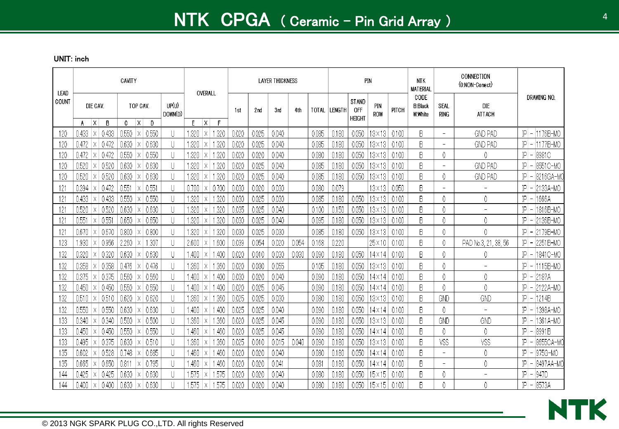| LEAD         |                                                      | CAVITY                                         |                                       | OVERALL                                      |       |       | <b>LAYER THICKNESS</b> |       |       |               |                                      | PIN            |       | <b>NTK</b><br><b>MATERIAL</b>     |                          | CONNECTION<br>(0:NON-Conect) |                                             |
|--------------|------------------------------------------------------|------------------------------------------------|---------------------------------------|----------------------------------------------|-------|-------|------------------------|-------|-------|---------------|--------------------------------------|----------------|-------|-----------------------------------|--------------------------|------------------------------|---------------------------------------------|
| COUNT        | DIE CAV.                                             | TOP CAV.                                       | UP(U)<br>DOWN(D)                      |                                              | 1st   | 2nd   | 3rd                    | 4th   | TOTAL | <b>LENGTH</b> | STAND<br><b>OFF</b><br><b>HEIGHT</b> | PIN<br>ROW     | PITCH | CODE<br><b>B:Black</b><br>W:White | SEAL<br>ring             | DIE<br>ATTACH                | DRAWING NO.                                 |
| 120          | $\mathsf{X}$<br>B<br>A<br>0.433<br>0.433<br>$\times$ | $\mathsf{X}$<br>C.<br>Ð<br>0.550<br>0.550<br>Χ | U                                     | $\mathsf{X}$<br>F<br>E<br>1.320<br>.320<br>Χ | 0.020 | 0.025 | 0.040                  |       | 0.085 | 0.180         | 0.050                                | $3 \times 13$  | 0.100 | B                                 | $\overline{\phantom{0}}$ | <b>GND PAD</b>               | IP<br>1176B-MO<br>$\overline{a}$            |
| 120          | 0.472<br>0.472<br>Х                                  | 0.630<br>0.630<br>Χ                            | U                                     | 1.320<br>.320<br>Χ                           | 0.020 | 0.025 | 0.040                  |       | 0.085 | 0.180         | 0.050                                | I3×13          | 0.100 | B                                 | $\overline{\phantom{a}}$ | <b>GND PAD</b>               | $ P $ –<br>1177B-MO                         |
| 120          | 0.472<br>0.472<br>Х                                  | 0.550<br>0.550<br>Χ                            | U                                     | 1.320<br>.320<br>Χ                           | 0.020 | 0.020 | 0.040                  |       | 0.080 | 0.180         | 0.050                                | I3×13          | 0.100 | B                                 | 0                        | 0                            | ΙP<br>8981C                                 |
| 120          | 0.52C<br>0.520<br>Χ                                  | 0.630<br>0.630<br>Х                            | U                                     | 1.320<br>.320<br>Х                           | 0.020 | 0.025 | 0.040                  |       | 0.085 | 0.180         | 0.050                                | 13×13          | 0.100 | B                                 | $\overline{\phantom{a}}$ | <b>GND PAD</b>               | 8551C-MO<br>ΙP                              |
| 120          | 0.520<br>0.520<br>Χ                                  | 0.630<br>0.630<br>Χ                            | U                                     | 1.320<br>-320<br>Χ                           | 0.020 | 0.025 | 0.040                  |       | 0.085 | 0.180         | 0.050                                | 13×13.         | 0.100 | B                                 | 0                        | <b>GND PAD</b>               | ΙP<br>8216GA-MC                             |
| 121          | 0.472<br>0.394<br>Х                                  | $0.55^{\circ}$<br>0.551<br>Х                   | $\begin{array}{c} \hline \end{array}$ | 0.70(<br>0.700<br>Χ                          | 0.030 | 0.020 | 0.030                  |       | 0.080 | 0.079         |                                      | I3×13          | 0.050 | B                                 | $\overline{\phantom{a}}$ | $\overline{\phantom{a}}$     | 2133A-MO<br>ΙP<br>$\overline{\phantom{a}}$  |
| 121          | 0.433<br>0.433<br>$\boldsymbol{\mathsf{X}}$          | 0.550<br>0.550<br>Χ                            | U                                     | 1.320<br>.320<br>Χ                           | 0.030 | 0.025 | 0.030                  |       | 0.085 | 0.180         | 0.050                                | I3×13          | 0.100 | B                                 | 0                        | 0                            | IP<br>1666A<br>$\overline{a}$               |
| 121          | 0.520<br>0.52C<br>Χ                                  | 0.630<br>0.630<br>Χ                            | U                                     | 1.320<br>.320<br>Χ                           | 0.035 | 0.025 | 0.040                  |       | 0.100 | 0.150         | 0.050                                | 13×13          | 0.100 | B                                 | 0                        | $\overline{a}$               | 1816B-MO<br>$ P $ –                         |
| $12^{\circ}$ | $0.55^{\circ}$<br>0.551<br>$\times$                  | 0.650<br>0.650<br>Х                            | U                                     | 1.320<br>.320<br>Χ                           | 0.030 | 0.025 | 0.040                  |       | 0.095 | 0.180         | 0.050                                | I3×13          | 0.100 | B                                 | 0                        | 0                            | 2136B-MO<br>$ P $ –                         |
| 121          | 0.670<br>0.670<br>Χ                                  | 0.800<br>0.800<br>Х                            | U                                     | 1.320<br>.320<br>X.                          | 0.030 | 0.025 | 0.030                  |       | 0.085 | 0.180         | 0.050                                | 13×13.         | 0.100 | B                                 | 0                        | 0                            | 2179B-MC<br>ΙP                              |
| 123          | 0.956<br>.930<br>Χ                                   | 1.307<br>2.260<br>Х                            | U                                     | 1.600<br>2.600<br>X.                         | 0.039 | 0.054 | 0.020                  | 0.054 | 0.168 | 0.220         |                                      | $25 \times 10$ | 0.100 | B                                 | 0                        | PAD No.3, 21,<br>, 38, 56    | IP<br>2251B-MC<br>$\overline{\phantom{a}}$  |
| 132          | 0.320<br>0.320<br>Χ                                  | 0.630<br>0.630<br>Χ                            | U                                     | .400<br>.400<br>Х                            | 0.020 | 0.010 | 0.030                  | 0.030 | 0.090 | 0.180         | 0.050                                | l4×14          | 0.100 | B                                 | 0                        | 0                            | IP<br>1841C-MO                              |
| 132          | 0.358<br>0.358<br>Χ                                  | 0.476<br>0.476<br>Χ                            | U                                     | 1.360<br>.360                                | 0.020 | 0.030 | 0.055                  |       | 0.105 | 0.180         | 0.050                                | I3×13          | 0.100 | B                                 | 0                        | $\overline{\phantom{a}}$     | 1115B-MO<br>IP                              |
| 132          | 0.375<br>0.375<br>Χ                                  | 0.560<br>0.560<br>Χ                            | U                                     | 400<br>.400<br>Χ                             | 0.030 | 0.020 | 0.040                  |       | 0.090 | 0.180         | 0.050                                | 14×14          | 0.100 | B                                 | 0                        | 0                            | IP<br>2187A                                 |
| 132          | 0.450<br>0.450<br>Χ                                  | 0.550<br>0.550<br>Χ                            | U                                     | .400<br>1.400<br>Χ                           | 0.020 | 0.025 | 0.045                  |       | 0.090 | 0.180         | 0.050                                | 14 x 14        | 0.100 | B                                 | 0                        | 0                            | IP<br>2122A-MO                              |
| 132          | 0.510<br>0.510<br>$\times$                           | 0.620<br>0.620<br>Χ                            | U                                     | .360<br>.360<br>Х                            | 0.025 | 0.025 | 0.030                  |       | 0.080 | 0.180         | 0.050                                | $3 \times 13$  | 0.100 | B                                 | GND                      | GND                          | 1214B<br>P<br>$\overline{a}$                |
| 132          | 0.550<br>0.550<br>Χ                                  | 0.630<br>0.630<br>Χ                            | U                                     | .400<br>.400<br>Х                            | 0.025 | 0.025 | 0.040                  |       | 0.090 | 0.180         | 0.050                                | l4 X 14        | 0.100 | B                                 | 0                        | $\overline{\phantom{a}}$     | 1398A-MO<br>P                               |
| 133          | 0.340<br>0.340<br>Х                                  | 0.500<br>0.500<br>Х                            | U                                     | 1.360<br>.360<br>Χ                           | 0.020 | 0.025 | 0.045                  |       | 0.090 | 0.180         | 0.050                                | I3×13          | 0.100 | B                                 | GND                      | GND                          | ΙP<br>1361A-MO<br>$\overline{\phantom{a}}$  |
| 133          | 0.450<br>0.450<br>Χ                                  | 0.550<br>0.550<br>Χ                            | U                                     | .460<br>.460<br>Χ                            | 0.020 | 0.025 | 0.045                  |       | 0.090 | 0.180         | 0.050                                | l4×14          | 0.100 | B                                 | 0                        | 0                            | ΙP<br>8991B                                 |
| 133          | 0.375<br>0.495<br>Χ                                  | 0.630<br>0.510<br>Χ                            | U                                     | 1.360<br>.360<br>Χ                           | 0.025 | 0.010 | 0.015                  | 0.040 | 0.090 | 0.180         | 0.050                                | 13×13          | 0.100 | B                                 | VSS                      | VSS                          | ΙP<br>8655CA-MO                             |
| 135          | 0.528<br>0.602<br>Χ                                  | 0.685<br>0.748<br>Χ                            | U                                     | .460<br>.460<br>Χ                            | 0.020 | 0.020 | 0.040                  |       | 0.080 | 0.180         | 0.050                                | l4×14          | 0.100 | B                                 | $\overline{\phantom{a}}$ | 0                            | ΙP<br>975G-MO                               |
| 135          | 0.665<br>0.65C<br>Χ                                  | 0.811<br>0.795<br>ΙX                           | U                                     | 1.460<br>.460<br>Χ                           | 0.020 | 0.020 | 0.041                  |       | 0.081 | 0.180         | 0.050                                | $14\times14$   | 0.100 | B                                 | $\overline{\phantom{a}}$ | 0                            | ΙP<br>8497AA-MC<br>$\overline{\phantom{a}}$ |
| 144          | 0.425<br>0.425<br>X                                  | 0.630<br>0.630<br>Х                            | U                                     | .575<br>1.575<br>Χ                           | 0.020 | 0.020 | 0.040                  |       | 0.080 | 0.180         | 0.050                                | 15×15          | 0.100 | B                                 | 0                        | $\overline{a}$               | ΙP<br>947D                                  |
| 144          | 0.400<br>0.400<br>Χ                                  | 0.630<br>0.630<br>Χ                            | $\mathbf{\mathsf{I}}$                 | .575<br>1.575<br>Χ                           | 0.020 | 0.020 | 0.040                  |       | 0.080 | 0.180         | 0.050                                | $15\times15$   | 0.100 | B                                 | 0                        | 0                            | $ P  - 8573A$                               |

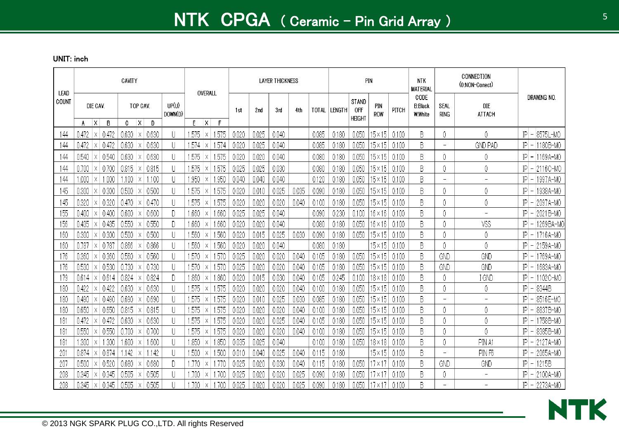| LEAD     |                |                          |                | CAVITY         |                        |                  | OVERALL                |                |                |                | <b>LAYER THICKNESS</b> |       |                |                |                                             | PIN                              |                | <b>NTK</b><br><b>MATERIAL</b>     |                          | CONNECTION<br>(0:NON-Conect) |                                             |
|----------|----------------|--------------------------|----------------|----------------|------------------------|------------------|------------------------|----------------|----------------|----------------|------------------------|-------|----------------|----------------|---------------------------------------------|----------------------------------|----------------|-----------------------------------|--------------------------|------------------------------|---------------------------------------------|
| COUNT    | A              | DIE CAV.<br>$\mathsf{X}$ | B              | $\mathbf{C}$   | TOP CAV.<br> X <br>D   | UP(U)<br>DOWN(D) | F.<br>$\mathsf{X}$     | F              | 1st            | 2 na           | 3rd                    | 4th   | TOTAL          | <b>LENGTH</b>  | <b>STAND</b><br><b>OFF</b><br><b>HEIGHT</b> | <b>PIN</b><br>ROW                | PITCH          | CODE<br><b>B:Black</b><br>W:White | SEAL<br>ring             | DIE<br><b>ATTACH</b>         | Drawing No.                                 |
| 144      | 0.472          | ΙX.                      | 0.472          | 0.630          | 0.630<br>X             |                  | .575<br>$\times$       | 1.575          | 0.020          | 0.025          | 0.040                  |       | 0.085          | 0.180          | 0.050                                       | $15 \times 15$                   | 0.100          | B                                 | 0                        | 0                            | 8575L-MO<br> P                              |
| 144      | 0.472          | Χ                        | 0.472          | 0.630          | 0.630<br>X             |                  | .574<br>X              | 1.574          | 0.020          | 0.025          | 0.040                  |       | 0.085          | 0.180          | 0.050                                       | $15\times15$                     | 0.100          | B                                 | $\overline{a}$           | <b>GND PAD</b>               | 1180B-MO<br> P <br>$\overline{\phantom{a}}$ |
| 144      | 0.540          |                          | 0.540          | 0.630          | 0.630                  |                  | .575<br>Χ              | 1.575          | 0.020          | 0.020          | 0.040                  |       | 0.080          | 0.180          | 0.050                                       | $15 \times 15$                   | 0.100          | B                                 | 0                        | 0                            | 1169A-MO<br> P                              |
| 144      | 0.700          | X                        | -0.700         | 0.815          | 0.815<br>$\times$      |                  | .575<br>X              | 1.575          | 0.025          | 0.025          | 0.030                  |       | 0.080          | 0.180          | 0.050                                       | $15 \times 15$                   | 0.100          | B                                 | 0                        | 0                            | 2116C-MO<br> P                              |
| 144      | .000           |                          | 1.000          | .100           | Χ                      | 1.100            | .950                   | .950           | 0.040          | 0.040          | 0.040                  |       | 0.120          | 0.180          | 0.050                                       | $15 \times 15$                   | 0.100          | B                                 | $\overline{\phantom{a}}$ | $\overline{\phantom{a}}$     | P <br>1997A-MO                              |
| 145      | 0.300          |                          | 0.300          | 0.500          | 0.500                  |                  | .575<br>Χ              | 1.575          | 0.020          | 0.010          | 0.025                  | 0.035 | 0.090          | 0.180          | 0.050                                       | $15 \times 15$                   | 0.100          | B                                 | 0                        | 0                            | P<br>1938A-MO                               |
| 145      | 0.320          | Χ                        | -0.320         | 0.470          | 0.470<br>Χ             |                  | .575<br>X              | 1.575          | 0.020          | 0.020          | 0.020                  | 0.040 | 0.100          | 0.180          | 0.050                                       | 15×15                            | 0.100          | B                                 | 0                        | 0                            | IP<br>2097A-MO                              |
| 155      | 0.400          | Χ                        | 0.400          | 0.600          | 0.600<br>X             | D                | -660<br>Χ              | 1.660          | 0.025          | 0.025          | 0.040                  |       | 0.090          | 0.230          | 0.100                                       | $16 \times 16$                   | 0.100          | B                                 | 0                        | $\overline{\phantom{0}}$     | 2021B-MO<br> P                              |
| 156      | 0.435          | $\times$                 | 0.435          | 0.550          | 0.550<br>X             | D                | -660<br>Χ              | 1.660          | 0.020          | 0.020          | 0.040                  |       | 0.080          | 0.180          | 0.050                                       | $16 \times 16$                   | 0.100          | B                                 | 0                        | VSS                          | IP<br>1269BA-MC                             |
| 160      | 0.300          | Χ                        | 0.300          | 0.500          | 0.500<br>X             |                  | .560<br>Χ              | 1,560          | 0.020          | 0.015          | 0.025                  | 0.030 | 0.090          | 0.180          | 0.050                                       | $15 \times 15$                   | 0.100          | B                                 | 0                        | 0                            | P <br>1716A-MO                              |
| 160      | 0.787          | $\times$                 | -0.787         | 0.866          | 0.866<br>X             |                  | .560<br>X              | 1.560          | 0.020          | 0.020          | 0.040                  |       | 0.080          | 0.180          |                                             | $15 \times 15$                   | 0.100          | B                                 | 0                        | 0                            | P <br>2159A-MO                              |
| 176      | 0.360          | Χ                        | 0.360          | 0.560          | 0.560<br>Χ             |                  | .570<br>Χ              | 1.570          | 0.025          | 0.020          | 0.020                  | 0.040 | 0.105          | 0.180          | 0.050                                       | $15 \times 15$                   | 0.100          | B                                 | GND                      | GND                          | P<br>1769A-MO                               |
| 176      | 0.530          | Χ                        | 0.530          | 0.730          | 0.730<br>Χ             |                  | .570<br>Χ              | 1.570          | 0.025          | 0.020          | 0.020                  | 0.040 | 0.105          | 0.180          | 0.050                                       | 15×15                            | 0.100          | B                                 | GND                      | GND                          | IP<br>1683A-MO                              |
| 179      | 0.614          | ΙX                       | 0.614          | 0.824          | 0.824<br>Χ             | D                | .860<br>Χ              | 1.860          | 0.020          | 0.015          | 0.030                  | 0.040 | 0.105          | 0.245          | 0.100                                       | $18 \times 18$                   | 0.100          | B                                 | 0                        | I GND                        | P <br>1102C-MO                              |
| 180      | 0.422          | $\times$                 | 0.422          | 0.630          | 0.630<br>Χ             |                  | .575<br>X              | 1.575          | 0.020          | 0.020          | 0.020                  | 0.040 | 0.100          | 0.180          | 0.050                                       | 15×15                            | 0.100          | B                                 | 0                        | 0                            | 8344B<br>IP                                 |
| 180      | 0.490          | Χ                        | 0.490          | 0.690          | 0.690<br>Χ             |                  | .575<br>X              | 1.575          | 0.020          | 0.010          | 0.025                  | 0.030 | 0.085          | 0.180          | 0.050                                       | $15 \times 15$                   | 0.100          | B                                 | $\overline{\phantom{a}}$ | $\overline{\phantom{a}}$     | 8516E-MO<br>P                               |
| 180      | 0.650          | X                        | 0.650          | 0.815          | 0.815<br>$\times$      |                  | .575<br>X              | 1.575          | 0.020          | 0.020          | 0.020                  | 0.040 | 0.100          | 0.180          | 0.050                                       | 15×15                            | 0.100          | B                                 | 0                        | 0                            | 8837B-MO<br>IP                              |
| 18       | 0.472<br>0.550 | $\times$                 | 0.472<br>0.550 | 0.630<br>0.700 | 0.630<br>X<br>$\times$ |                  | .575<br>Χ              | 1.575          | 0.020<br>0.020 | 0.020          | 0.025                  | 0.040 | 0.105          | 0.180          | 0.050                                       | $15 \times 15$                   | 0.100          | B<br>B                            | 0<br>0                   | 0<br>0                       | 1758B-MO<br> P <br>IP                       |
| 18       | .300           | X                        | 1.300          | .600           | 0.700<br>1.600<br>Χ    |                  | .575<br>X<br>.850<br>Χ | 1.575<br>1.850 | 0.035          | 0.020<br>0.025 | 0.020<br>0.040         | 0.040 | 0.100<br>0.100 | 0.180<br>0.180 | 0.050<br>0.050                              | $15 \times 15$<br>$18 \times 18$ | 0.100<br>0.100 | B                                 | 0                        | PIN A1                       | 8385B-MO<br>2127A-MO<br> P                  |
| 18<br>20 | 0.874          | $\times$                 | 0.874          | 42             | Χ                      | .142             | .500<br>Χ              | 1.500          | 0.010          | 0.040          | 0.025                  | 0.040 | 0.115          | 0.180          |                                             | 15×15                            | 0.100          | B                                 | $\overline{\phantom{a}}$ | PIN F6                       | P <br>2065A-MO                              |
| 20       | 0.500          | $\times$                 | 0.52C          | 0.680          | 0.680<br>Χ             | D                | .770<br>Χ              | .770           | 0.025          | 0.020          | 0.030                  | 0.040 | 0.115          | 0.180          | 0.050                                       | 17 × 17                          | 0.100          | B                                 | GND                      | GND                          | 1215B<br>ΙPΙ                                |
| 208      | 0.345          | $\times$                 | 0.345          | 0.505          | 0.505<br>$\times$      |                  | -700<br>Χ              | .700           | 0.025          | 0.020          | 0.020                  | 0.025 | 0.090          | 0.180          | 0.050                                       | 7 X 1                            | 0.100          | B                                 | 0                        | $\overline{\phantom{0}}$     | P<br>2100A-MO                               |
| 208      | 0.345          | Х                        | 0.345          | 0.505          | 0.505<br>Χ             |                  | .700<br>X              | .700           | 0.025          | 0.020          | 0.020                  | 0.025 | 0.090          | 0.180          | 0.050                                       | 7 X I                            | 0.100          | B                                 | $\overline{\phantom{a}}$ | $\equiv$                     | $ P  - 2273A-MO$                            |

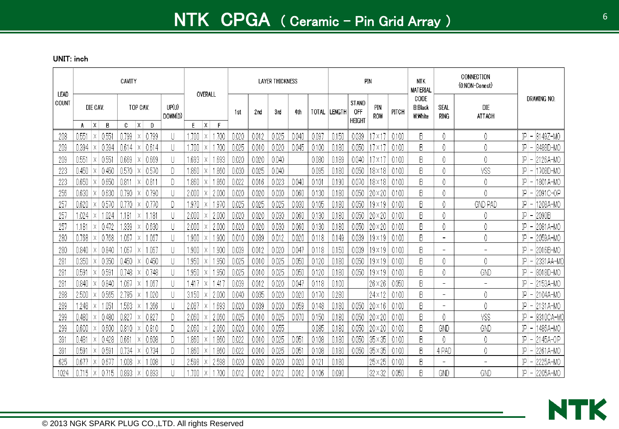|               |                |                          |                | CAVITY |                               |                  | OVERALL           |              |       |       | <b>LAYER THICKNESS</b> |       |       |              |                                             | PIN            |       | <b>NTK</b><br><b>MATERIAL</b>     |                          | CONNECTION<br>(0:NON-Conect) |                                             |
|---------------|----------------|--------------------------|----------------|--------|-------------------------------|------------------|-------------------|--------------|-------|-------|------------------------|-------|-------|--------------|---------------------------------------------|----------------|-------|-----------------------------------|--------------------------|------------------------------|---------------------------------------------|
| LEAD<br>COUNT | A              | DIE CAV.<br>$\mathsf{X}$ | B              | 0      | TOP CAV.<br>$\mathsf{x}$<br>D | UP(U)<br>DOWN(D) | E<br>$\mathsf{X}$ | $\mathsf{F}$ | 1st   | 2nd   | 3rd                    | 4th   |       | TOTAL LENGTH | <b>STAND</b><br><b>OFF</b><br><b>HEIGHT</b> | PIN<br>ROW     | PITCH | CODE<br><b>B:Black</b><br>W.White | SEAL<br>ring             | DIE<br>ATTACH                | <b>DRAWING NO</b>                           |
| 208           | $0.55^{\circ}$ | Χ                        | $0.55^{\circ}$ | 0.799  | 0.799<br>Χ                    | $\mathsf{L}$     | .700<br>Χ         | ,700         | 0.020 | 0.012 | 0.025                  | 0.040 | 0.097 | 0.150        | 0.039                                       | $7\times17$    | 0.100 | B                                 | 0                        |                              | 8149Z-MO<br>P<br>$\overline{\phantom{a}}$   |
| 209           | 0.394          | Χ                        | 0.394          | 0.614  | 0.614<br>X                    |                  | .700<br>Х         | .700         | 0.025 | 0.010 | 0.020                  | 0.045 | 0.100 | 0.180        | 0.050                                       | 1X             | 0.100 | B                                 | 0                        |                              | IP<br>8488D-MO                              |
| 209           | $0.55^{\circ}$ | Χ                        | $0.55^{\circ}$ | 0.669  | 0.669<br>Χ                    |                  | 1.693<br>Х        | 1.693        | 0.020 | 0.020 | 0.040                  |       | 0.080 | 0.189        | 0.040                                       | 7 X 1          | 0.100 | B                                 | 0                        |                              | ΙP<br>2126A-MO                              |
| 223           | 0.450          |                          | 0.450          | 0.570  | 0.570<br>Χ                    | D                | .860<br>Х         | .860         | 0.030 | 0.025 | 0.040                  |       | 0.095 | 0.180        | 0.050                                       | $18 \times 18$ | 0.100 | B                                 | 0                        | VSS                          | P <br>1708D-MO                              |
| 223           | 0.650          |                          | 0.650          | 0.811  | 0.811                         | D                | 1.860<br>Χ        | .86(         | 0.022 | 0.016 | 0.023                  | 0.040 | 0.101 | 0.190        | 0.070                                       | $18 \times 18$ | 0.100 | B                                 | 0                        |                              | 1801A-MO<br>ΙPΙ<br>$\overline{\phantom{a}}$ |
| 256           | 0.630          |                          | 0.630          | 0.790  | 0.790                         | $\mathsf{L}$     | 2.000<br>Х        | 2.000        | 0.020 | 0.020 | 0.030                  | 0.060 | 0.130 | 0.180        | 0.050                                       | 20×20          | 0.100 | B                                 | 0                        | 0                            | P <br>2091C-OP<br>$\overline{\phantom{a}}$  |
| $25^{\circ}$  | 0.620          |                          | 0.570          | .770   | 0.770<br>Х                    | D                | l 970<br>Х        | 1.970        | 0.025 | 0.025 | 0.025                  | 0.030 | 0.105 | 0.180        | 0.050                                       | $19 \times 19$ | 0.100 | B                                 | 0                        | <b>GND PAD</b>               | 1208A-MO<br>P                               |
| 25            | .024           |                          | .024           | .181   | .181                          |                  | 2.000<br>Х        | 2.000        | 0.020 | 0.020 | 0.030                  | 0.060 | 0.130 | 0.180        | 0.050                                       | 20×20          | 0.100 | B                                 | 0                        |                              | 2090B<br>P<br>$\overline{\phantom{a}}$      |
| 25            | .181           | Χ                        | 0.472          | .339   | 0.630<br>Χ                    | $\mathsf{I}$     | 2.000<br>Χ        | 2.00C        | 0.020 | 0.020 | 0.030                  | 0.060 | 0.130 | 0.180        | 0.050                                       | $20 \times 20$ | 0.100 | B                                 | 0                        | 0                            | P <br>2081A-MO                              |
| 280           | 0.768          |                          | 0.768          | .067   | 1.067                         | $\mathsf{L}$     | l 900<br>Χ        | 1.900        | 0.010 | 0.039 | 0.012                  | 0.020 | 0.118 | 0.149        | 0.039                                       | $19 \times 19$ | 0.100 | B                                 | $\overline{\phantom{a}}$ | 0                            | P <br>2059A-MO                              |
| 280           | 0.840          |                          | 0.840          | .067   | 1.067<br>X                    | $\mathsf{L}$     | l 900<br>Х        | .900         | 0.039 | 0.012 | 0.020                  | 0.047 | 0.118 | 0.150        | 0.039                                       | $19 \times 19$ | 0.100 | B                                 | $\overline{\phantom{a}}$ | $\overline{\phantom{a}}$     | 2016B-MO<br>IP                              |
| 58.           | 0.350          |                          | 0.350          | 0.450  | 0.450<br>Х                    |                  | .950<br>Х         | .950         | 0.025 | 0.010 | 0.025                  | 0.050 | 0.120 | 0.180        | 0.050                                       | $19 \times 19$ | 0.100 | B                                 | 0                        | 0                            | P<br>2331 AA-MO<br>$\overline{\phantom{a}}$ |
| 28            | 0.591          | Χ                        | 0.59           | 0.748  | 0.748<br>X                    | U                | .950<br>Χ         | .950         | 0.025 | 0.010 | 0.025                  | 0.050 | 0.120 | 0.180        | 0.050                                       | $19 \times 19$ | 0.100 | B                                 | 0                        | GND                          | 8018D-MO<br>P                               |
| 28            | 0.840          |                          | 0.840          | .067   | .067                          |                  | -417<br>Χ         | .41          | 0.039 | 0.012 | 0.020                  | 0.047 | 0.118 | 0.100        |                                             | $26 \times 26$ | 0.050 | B                                 | $\overline{\phantom{a}}$ | $\overline{a}$               | P <br>2153A-MO                              |
| 288           | 2.500          |                          | 0.565          | 2.795  | .020<br>X                     |                  | 3.150<br>Х        | 2.000        | 0.040 | 0.035 | 0.020                  | 0.020 | 0.170 | 0.280        |                                             | $24 \times 12$ | 0.100 | B                                 | $\overline{\phantom{a}}$ | 0                            | P<br>2104A-MO                               |
| 289           | .248           |                          | .051           | .563   | .366                          | $\mathsf{L}$     | 2.087<br>Х        | 1.693        | 0.020 | 0.039 | 0.030                  | 0.059 | 0.148 | 0.180        | 0.050                                       | $20 \times 16$ | 0.100 | B                                 | $\overline{\phantom{0}}$ | 0                            | $ P $ –<br>2131A-MO                         |
| 299           | 0.480          |                          | 0.480          | 0.827  | 0.827<br>X                    | D                | 2.060<br>Χ        | 2.060        | 0.025 | 0.010 | 0.025                  | 0.070 | 0.150 | 0.180        | 0.050                                       | $20 \times 20$ | 0.100 | B                                 | 0                        | VSS                          | P <br>8310CA-MO                             |
| 299           | 0.600          | Χ                        | 0.600          | 0.810  | 0.810<br>X                    | D                | 2.060<br>Х        | 2.060        | 0.020 | 0.010 | 0.055                  |       | 0.085 | 0.180        | 0.050                                       | $20 \times 20$ | 0.100 | B                                 | GND                      | GND                          | P <br>1486A-MO                              |
| 39            | 0.481          |                          | 0.428          | 0.661  | 0.608                         |                  | 1.860<br>Χ        | 1.860        | 0.022 | 0.010 | 0.025                  | 0.051 | 0.108 | 0.180        | 0.050                                       | $35 \times 35$ | 0.100 | B                                 | 0                        | 0                            | P<br>2145A-OP<br>$\overline{\phantom{a}}$   |
| 39            | 0.591          | Χ                        | 0.59           | 0.734  | 0.734<br>X                    | D                | .860<br>Χ         | .86(         | 0.022 | 0.010 | 0.025                  | 0.051 | 0.108 | 0.180        | 0.050                                       | $35 \times 35$ | 0.100 | B                                 | 4 PAD                    | 0                            | IP<br>2261A-MO                              |
| 625           | 0.677          |                          | -0.67          | .008   | .008                          | $\mathsf{I}$     | 2.598<br>Х        | 2.598        | 0.020 | 0.020 | 0.020                  | 0.020 | 0.121 | 0.180        |                                             | $25 \times 25$ | 0.100 | B                                 | $\overline{\phantom{0}}$ | $\overline{\phantom{a}}$     | P<br>2225A-MO                               |
| 1024          | 0.715          | X                        | 0.715          | 0.893  | 0.893<br>X                    |                  | .700<br>Х         | .700         | 0.012 | 0.012 | 0.012                  | 0.012 | 0.106 | 0.090        |                                             | $32 \times 32$ | 0.050 | B                                 | GND                      | GND                          | $ P  - 2205A-MO$                            |

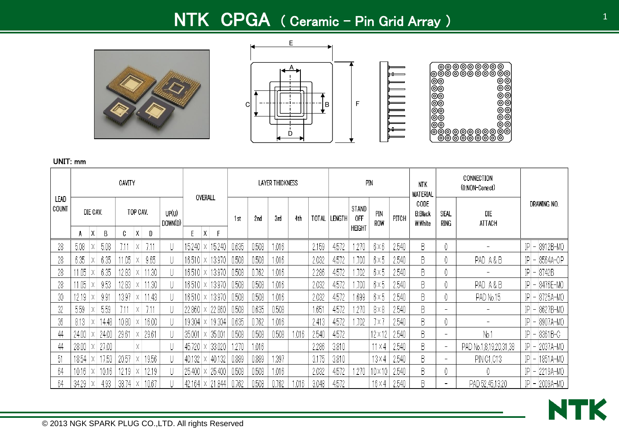# NTK CPGA ( Ceramic – Pin Grid Array )







<u>IIIII</u>

|               |       |          |                         | CAVITY |          |       |                  |             | OVERALL |            |       |       | LAYER THICKNESS |       |       |               |               | PIN               |       | <b>NTK</b><br><b>MATERIAL</b>     |                          | CONNECTION<br>(0:NON-Conect) |                      |
|---------------|-------|----------|-------------------------|--------|----------|-------|------------------|-------------|---------|------------|-------|-------|-----------------|-------|-------|---------------|---------------|-------------------|-------|-----------------------------------|--------------------------|------------------------------|----------------------|
| LEAD<br>COUNT |       | DIE CAV. |                         |        | TOP CAV. |       | UP(U)<br>DOWN(D) |             |         |            | 1st   | 2nd   | 3rd             | 4th   | TOTAL | <b>LENGTH</b> | STAND<br>0FF  | <b>PIN</b><br>ROW | PITCH | CODE<br><b>B:Black</b><br>W:White | SEAL<br>ring             | DIE<br>ATTACH                | Drawing No.          |
|               | A     | Χ        | В                       | C      | X.       | D     |                  | E           | X       | F          |       |       |                 |       |       |               | <b>HEIGHT</b> |                   |       |                                   |                          |                              |                      |
| 28            | 5.08  | Χ        | 5.08                    |        | Χ        | 7.11  |                  | 15.240      |         | 15.240     | 0.635 | 0.508 | 1.016           |       | 2.159 | 4.572         | .270          | $6\times6$        | 2.540 | B                                 | 0                        |                              | $ P  -  8912B - MO$  |
| 28            | 6.35  |          | 6.35                    | 11.05  |          | 9.65  |                  | 16.510      |         | 13.970     | 0.508 | 0.508 | 1.016           |       | 2.032 | 4.572         | .700          | 6×5               | 2.540 | B                                 |                          | PAD A&B                      | $ P  -  8564A - OP $ |
| 28            | 1.05  |          | 6.35                    | 12.83  |          | 1.30  |                  | 16.510.     |         | 13.970     | 0.508 | 0.762 | 1.016           |       | 2.286 | 4.572         | .702          | $6\times5$        | 2.540 | B                                 |                          |                              | $ P  -  8742B $      |
| 28            | 1.05  |          | 9.53                    | 12.83  |          | 1.30  |                  | 16.510.     |         | 13.970     | 0.508 | 0.508 | 1.016           |       | 2.032 | 4.572         | .700          | $6\times5$        | 2.540 | B                                 |                          | PAD A&B                      | $ P  -  8476E - MO$  |
| 30            | 12.19 | Χ        | 991                     | 13.97  | х.       | 1.43  |                  | 16.510      |         | 13.970     | 0.508 | 0.508 | 1.016           |       | 2.032 | 4.572         | .699          | $6\times5$        | 2.540 | B                                 |                          | PAD No.15                    | $ P  -  8725A - M0$  |
| 32            | 5.59  | Χ        | 5.59                    |        | Χ        |       |                  | 22.860      |         | 22.860     | 0.508 | 0.635 | 0.508           |       | 1.651 | 4.572         | .270          | $8\times8$        | 2.540 | B                                 | $\overline{\phantom{a}}$ | $\qquad \qquad$              | IP - 8627B-MO        |
| 36            | 8.13  | Χ        | 14.48                   | 10.80  | Χ        | 16.00 |                  | 19.304      |         | 19.304     | 0.635 | 0.762 | 1.016           |       | 2.413 | 4.572         | .702          | 7 X J             | 2.540 | B                                 |                          |                              | IPI - 18907A-MO      |
| 44            | 24.00 | Х        | 24.00                   | 29.61  | ΙX.      | 29.61 |                  | 35.001      |         | 35.001     | 0.508 | 0.508 | 0.508           | 1.016 | 2.540 | 4.572         |               | $12 \times 12$    | 2.540 | B                                 | $\overline{\phantom{a}}$ | No.                          | $ P  - 8361B - C$    |
| 44            | 28.00 |          | $\vert$ × $\vert$ 27.00 |        | Χ        |       |                  | '45.720   x |         | 33.020     | .270  | 1.016 |                 |       | 2.286 | 3.810         |               | 11 × 4            | 2.540 | B                                 | $\overline{\phantom{a}}$ | PAD No.1,8,19,20,31,38       | IP  -  2037A-MO      |
| 51            | 18.54 |          | $\vert$ x $\vert$ 17.53 | 20.57  |          | 19.56 |                  | 40.132      |         | 40.132     | 0.889 | 0.889 | 1.397           |       | 3.175 | 3.810         |               | 13 × 4            | 2.540 | B                                 | $\overline{\phantom{a}}$ | PIN 01,013                   | $ P - $<br>1851A-MO  |
| 64            | 10.16 | X        | 10.16                   | 12.19  |          | 12.19 |                  | 25.400      |         | 25.400     | 0.508 | 0.508 | 1.016           |       | 2.032 | 4.572         | .270          | 10×10             | 2.540 | B                                 |                          |                              | $ P  - 2219A-MO$     |
| 64            | 34.29 |          | 4.93                    | 38.74  |          | 10.67 |                  | 42.164      |         | $x$ 21.844 | 0.762 | 0.508 | 0.762           | .016  | 3.048 | 4.572         |               | 16 × 4            | 2.540 | B                                 | $\overline{\phantom{a}}$ | PAD 52,45,13,20              | IPI - 2009A-MO       |

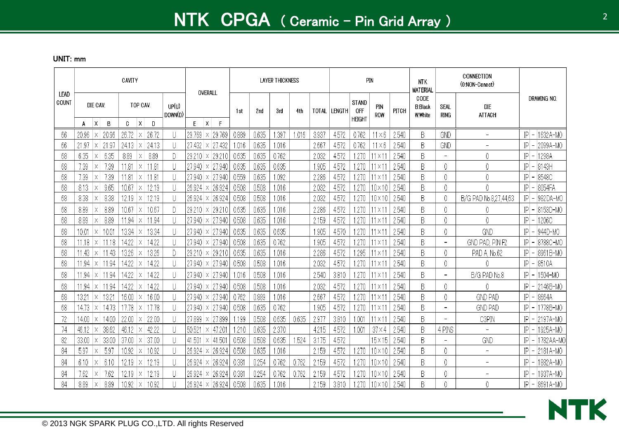|               |                         |                | CAVITY                    |                |                                       | OVERALL                                     |                |                | <b>LAYER THICKNESS</b> |       |                |                |                                      | PIN                |                | <b>NTK</b><br><b>MATERIAL</b>     |                                 | CONNECTION<br>(0:NON-Conect)                         |                                            |                      |
|---------------|-------------------------|----------------|---------------------------|----------------|---------------------------------------|---------------------------------------------|----------------|----------------|------------------------|-------|----------------|----------------|--------------------------------------|--------------------|----------------|-----------------------------------|---------------------------------|------------------------------------------------------|--------------------------------------------|----------------------|
| LEAD<br>COUNT | DIE CAV.                |                | TOP CAV.                  |                | UP(U)<br>DOWN(D)                      |                                             | 1st            | 2nd            | 3rd                    | 4th   | <b>TOTAL</b>   | <b>LENGTH</b>  | <b>STAND</b><br><b>OFF</b><br>HEIGHT | PIN<br>ROW         | PITCH          | CODE<br><b>B:Black</b><br>W:White | SEAL<br>ring                    | <b>DIE</b><br><b>ATTACH</b>                          | Drawing No.                                |                      |
|               | $\mathsf{X}$<br>A       | B              | X<br>C                    | D              |                                       | E<br>$\mathsf{X}$<br>F                      |                |                |                        |       |                |                |                                      |                    |                |                                   |                                 |                                                      |                                            |                      |
| 66            | 20.96<br>Χ              | 20.96<br>21.97 | 26.72<br>ΙX<br>24.13<br>X | 26.72<br>24.13 | U<br>U                                | 29.769<br>29.769<br>$\times$<br>27.432<br>X | 0.889<br>1.016 | 0.635<br>0.635 | .397<br>1.016          | .016  | 3.937<br>2.667 | 4.572<br>4.572 | 0.762<br>0.762                       | X6<br>$1 \times 6$ | 2.540<br>2.540 | B<br>B                            | GND                             | $\overline{\phantom{0}}$<br>$\overline{\phantom{0}}$ | IP<br>IP                                   | 1632A-MO<br>2099A-MO |
| 66<br>68      | 21.97<br>Χ<br>6.35<br>X | 6.35           | 8.89<br>X                 | 8.89           | D                                     | 27.432<br>29.210<br>29.210<br>$\times$      | 0.635          | 0.635          | 0.762                  |       | 2.032          | 4.572          | 1.270                                | l 1 × 1            | 2.540          | B                                 | GND<br>$\overline{\phantom{0}}$ | 0                                                    | IP<br>1298A                                |                      |
| 68            | 7.39<br>Χ               | 7.39           | 1.81<br>X                 | 11.81          | $\Box$                                | 27.940<br>27.940<br>X.                      | 0.635          | 0.635          | 0.635                  |       | 1.905          | 4.572          | 270                                  | 11 X 1             | 2.540          | B                                 | 0                               | 0                                                    | P <br>8143H<br>$\overline{\phantom{a}}$    |                      |
| 68            | 7.39<br>X               | 7.39           | .81<br>X                  | 11.81          |                                       | 27.940<br>27.940<br>$\times$                | 0.559          | 0.635          | 1.092                  |       | 2.286          | 4.572          | 1.270                                | 11 × 1             | 2.540          | B                                 | 0                               | 0                                                    | IP<br>8548C                                |                      |
| 68            | 8.13<br>Χ               | 9.65           | 10.67<br>X                | 12.19          |                                       | 26.924<br>26.924<br>Х                       | 0.508          | 0.508          | 1.016                  |       | 2.032          | 4.572          | 270                                  | $10 \times 10$     | 2.540          | B                                 | 0                               | 0                                                    | 8054FA<br> P                               |                      |
| 68            | 8.38<br>Χ               | 8.38           | 12.19<br>$\times$         | 12.19          | U                                     | 26.924<br>26.924<br>X                       | 0.508          | 0.508          | 1.016                  |       | 2.032          | 4.572          | .270                                 | $10\times10$       | 2.540          | B                                 | 0                               | B/G PAD No.8,27,44,63                                | 982DA-MO<br>IP                             |                      |
| 68            | 8.89<br>Х               | 8.89           | 10.67<br>ΙX               | 10.67          | Đ                                     | 29.210<br>29.210<br>$\times$                | 0.635          | 0.635          | 1.016                  |       | 2.286          | 4.572          | 270                                  | $11 \times 1$      | 2.540          | B                                 | 0                               | 0                                                    | 8153D-MO<br>ΙP                             |                      |
| 68            | 8.89<br>$\times$        | 8.89           | 1.94<br>$\times$          | 11.94          | Ш                                     | 27.940<br>27.940.<br>$\times$               | 0.508          | 0.635          | 1.016                  |       | 2.159          | 4.572          | 1.270                                | 11 X 1             | 2.540          | B                                 | 0                               | 0                                                    | ΙP<br>1206C                                |                      |
| 68            | 10.01<br>Χ              | 10.01          | 13.34<br>X                | 13.34          | $\begin{array}{c} \hline \end{array}$ | 27.940<br>27.940<br>Χ                       | 0.635          | 0.635          | 0.635                  |       | 1.905          | 4.570          | .270                                 | $11 \times 1$      | 2.540          | B                                 | 0                               | GND                                                  | IP<br>944D-MO                              |                      |
| 68            | 11.18<br>IX.            | 11.18          | 14.22                     | 14.22          | $\mathbf{  }$                         | 27.940<br>27.940<br>$\times$                | 0.508          | 0.635          | 0.762                  |       | 1.905          | 4.572          | 270                                  | $11 \times 1$      | 2.540          | B                                 | $\overline{\phantom{a}}$        | GND PAD, PIN F2                                      | 8788C-MO<br>IP                             |                      |
| 68            | 11.43.<br>lx I          | 11.43          | 13.26<br>X                | 13.26          | D                                     | 29.210<br>$29.210 \times$                   | 0.635          | 0.635          | 1.016                  |       | 2.286          | 4.572          | .295                                 | $11 \times 1$      | 2.540          | B                                 | 0                               | PAD A No.62                                          | P                                          | 8961B-MO             |
| 68            | 1.94<br>ΙX.             | 11.94          | 14.22<br>X                | 14.22          | $\begin{array}{c} \end{array}$        | 27.940<br>27.940<br>$\times$                | 0.508          | 0.508          | 1.016                  |       | 2.032          | 4.572          | .270                                 | $11 \times 1$      | 2.540          | B                                 | 0                               |                                                      | 8510A<br>IP                                |                      |
| 68            | 11.94<br>Χ              | 11.94          | 14.22<br>Х                | 14.22          |                                       | 27.940<br>27.940<br>Χ                       | 1.016          | 0.508          | 1.016                  |       | 2.540          | 3.810          | .270                                 | 11 X '             | 2.540          | B                                 | $\overline{\phantom{a}}$        | B/G PAD No.8                                         | IP<br>1504-MC                              |                      |
| 68            | 11.94<br>ΙX.            | 11.94          | 14.22<br>X                | 14.22          | U                                     | 27.940<br>27.940<br>X.                      | 0.508          | 0.508          | 1.016                  |       | 2.032          | 4.572          | 270                                  | 11 X 1             | 2.540          | B                                 | 0                               | 0                                                    | P <br>2146B-MO                             |                      |
| 68            | 1321<br>$\times$        | 13.21          | 16.00<br>$\times$         | 16.00          | U                                     | 27.940<br> 27.940  <br>$\times$             | 0.762          | 0.889          | 1.016                  |       | 2.667          | 4.572          | 1.270                                | 11 × 1             | 2.540          | B                                 | 0                               | <b>GND PAD</b>                                       | IP<br>8664A                                |                      |
| 68            | 14.73<br>Χ              | 14.73          | 7.78<br>X                 | 17.78          |                                       | 27.940<br>27.940<br>Х                       | 0.508          | 0.635          | 0.762                  |       | 1.905          | 4.572          | 1.270                                | 11 X 1             | 2.540          | B                                 | $\overline{\phantom{a}}$        | <b>GND PAD</b>                                       | $ P $ –<br>1778B-MO                        |                      |
| 72            | 14.00                   | 14.00          | 22.00<br>X                | 22.00          | $\mathsf{L}$                          | 27.899<br>27.899<br>$\times$                | .199           | 0.508          | 0.635                  | 0.635 | 2.977          | 3.810          | 1.001                                | l1 X '             | 2.540          | B                                 | $\overline{\phantom{a}}$        | C3PIN                                                | P <br>2197A-MO                             |                      |
| 74            | 46.12<br>lΧ             | 38.62          | 46.12<br>ΙX               | 42.22          | $\left\lfloor \right\rfloor$          | 50.521<br>47.20<br>X                        | 210            | 0.635          | 2.370                  |       | 4.215          | 4.572          | 1.001                                | $37 \times 4$      | 2.540          | B                                 | 4 PINS                          | $\overline{\phantom{a}}$                             | 1925A-MO<br> P                             |                      |
| 82            | 33.00                   | 33.00          | 37.00<br>X                | 37.00          | U                                     | 41.50<br>41.501<br>$\times$                 | 0.508          | 0.508          | 0.635                  | .524  | 3.175          | 4.572          |                                      | $15 \times 15$     | 2.540          | B                                 | $\overline{\phantom{0}}$        | GND                                                  | ΙP                                         | 1782AA-MC            |
| 84            | 5.97<br>Χ               | 5.97           | 10.92<br>X                | 10.92          | $\begin{array}{c} \hline \end{array}$ | 26.924<br>26.924<br>X                       | 0.508          | 0.635          | 1.016                  |       | 2.159          | 4.572          | 270                                  | $10\times10$       | 2.540          | B                                 | 0                               | $\overline{\phantom{a}}$                             | P <br>2181A-MO<br>$\overline{\phantom{a}}$ |                      |
| 84            | 6.10<br>Χ               | 6.10           | 12.19<br>X                | 12.19          | П                                     | 26.924<br>26.924<br>X                       | 0.381          | 0.254          | 0.762                  | 0.762 | 2.159          | 4.572          | .270                                 | $10 \times 10$     | 2.540          | B                                 | 0                               | $\overline{\phantom{0}}$                             | ΙP                                         | 1882A-MO             |
| 84            | 7.62<br>Χ               | 7.62           | 12.19<br>X                | 12.19          |                                       | 26.924<br>26.924<br>Χ                       | 0.381          | 0.254          | 0.762                  | 0.762 | 2.159          | 4.572          | .270                                 | $10\times10$       | 2.540          | B                                 | 0                               | ۳                                                    | IP                                         | 1937A-MO             |
| 84            | 8.89<br>Х               | 8.89           | 10.92<br>ΙX               | 10.92          |                                       | $26.924 \times$<br>26.924                   | 0.508          | 0.635          | .016                   |       | 2.159          | 3.810          | .270                                 | $10\times10$       | 2.540          | B                                 | 0                               | 0                                                    | $ P  -  8691A-M0$                          |                      |

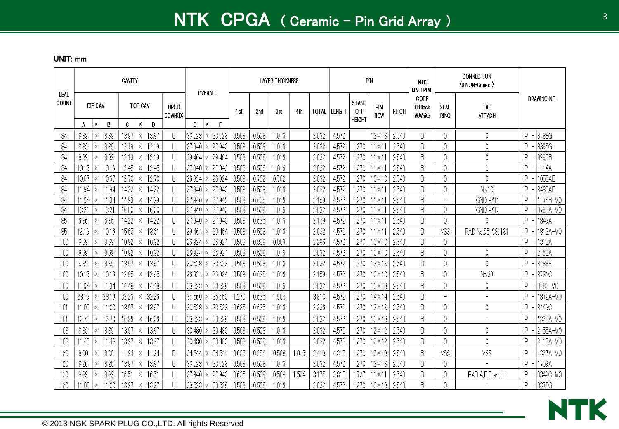|               |               |               |               | CAVITY         |          |                |                               | OVERALL                                        |   |                |                | <b>LAYER THICKNESS</b> |      |                |                |                                             | PIN              |                | <b>NTK</b><br><b>MATERIAL</b>             |                          | CONNECTION<br>(0:NON-Conect) |                                                   |
|---------------|---------------|---------------|---------------|----------------|----------|----------------|-------------------------------|------------------------------------------------|---|----------------|----------------|------------------------|------|----------------|----------------|---------------------------------------------|------------------|----------------|-------------------------------------------|--------------------------|------------------------------|---------------------------------------------------|
| LEAD<br>COUNT |               | DIE CAV.      |               |                | TOP CAV. |                | UP(U)<br>DOWN(D)              |                                                |   | 1st            | 2nd            | 3rd                    | 4th  | <b>TOTAL</b>   | <b>LENGTH</b>  | <b>STAND</b><br><b>OFF</b><br><b>HEIGHT</b> | PIN<br>ROW       | PITCH          | CODE<br><b>B:Black</b><br><b>W</b> :White | SEAL<br><b>RING</b>      | <b>DIE</b><br><b>ATTACH</b>  | DRAWING NO.                                       |
|               | A             | X             | B             | C.             | X        | $\mathbf{D}$   |                               | X<br>E                                         | F |                |                |                        |      |                |                |                                             |                  |                |                                           |                          |                              |                                                   |
| 84            | 8.89          | Χ             | 8.89          | 13.97          | Х        | 13.97          | $\mathsf{L}$                  | 33.528<br>33.528<br>Χ                          |   | 0.508          | 0.508          | 1.016                  |      | 2.032          | 4.572          |                                             | $13 \times 13$   | 2.540          | B                                         | 0                        | 0                            | 8188G<br>P<br>$\overline{\phantom{a}}$            |
| 84            | 8.89          | Χ             | 8.89          | 12.19          | Х        | 12.19          | IJ                            | 27.940<br>27.940<br>Χ                          |   | 0.508          | 0.508          | 1.016                  |      | 2.032          | 4.572          | .270                                        | 11 × 11          | 2.540          | B                                         | 0                        | 0                            | IP<br>8396G<br>$\overline{\phantom{0}}$           |
| 84            | 8.89          |               | 8.89          | 12.19          | X        | 12.19          | $\mathsf{I}$                  | 29.464<br>29.464<br>Χ                          |   | 0.508          | 0.508          | 1.016                  |      | 2.032          | 4.572          | 1.270                                       | 11 × 11          | 2.540          | B                                         | 0                        | 0                            | P<br>8993B<br>$\overline{\phantom{a}}$            |
| 84            | 10.16         | Х             | 10.16         | 12.45          | Х        | 12.45          | IJ                            | 27.940<br>27.940<br>Χ                          |   | 0.508          | 0.508          | 1.016                  |      | 2.032          | 4.572          | 1.270                                       | $11 \times 1$    | 2.540          | B                                         | 0                        | 0                            | $\mathbb{P}$<br>1114A<br>$\overline{\phantom{a}}$ |
| 84            | 10.67         |               | 10.67         | 12.70          |          | 12.70          | $\mathsf{I}$                  | 26.924<br>26.924<br>Χ                          |   | 0.508          | 0.762          | 0.762                  |      | 2.032          | 4.572          | 1.270                                       | $10 \times 10$   | 2.540          | B                                         | 0                        | 0                            | 1055AB<br>P<br>$\overline{\phantom{a}}$           |
| 84            | 1.94          | Х             | 11.94         | 14.22          |          | 14.22          | IJ                            | 27.940<br>27.940<br>Χ                          |   | 0.508          | 0.508          | 1.016                  |      | 2.032          | 4.572          | .270                                        | 11 X 1.          | 2.540          | B                                         | 0                        | No.10                        | P <br>8480AB<br>$\overline{\phantom{a}}$          |
| 84            | 11.94         |               | 11.94         | 14.99          |          | 14.99          | $\mathsf{I}$<br>$\mathbf{  }$ | 27.940<br>27.940<br>Χ                          |   | 0.508<br>0.508 | 0.635          | 1.016                  |      | 2.159          | 4.572          | 1.270<br>1.270                              | $11 \times 1$    | 2.540          | B<br>B                                    | $\overline{\phantom{a}}$ | <b>GND PAD</b>               | P<br>1174B-M0<br>$\overline{\phantom{a}}$<br> P   |
| 84            | 13.21         | X<br>$\times$ | 13.21<br>6.86 | 16.00<br>14.22 | X        | 16.00<br>14.22 |                               | 27.940<br>27.940<br>X                          |   | 0.508          | 0.508<br>0.635 | 1.016                  |      | 2.032<br>2.159 | 4.572          | 1.270                                       | 11 X 1<br>11 X 1 | 2.540          | B                                         | 0                        | <b>GND PAD</b><br>0          | 8765A-MO                                          |
| 85<br>85      | 6.86<br>12.19 | $\times$      | 10.16         | 15.65          |          | 13.61          | U<br>$\overline{\phantom{a}}$ | 27.940<br>27.940<br>X<br>29.464<br>29.464<br>X |   | 0.508          | 0.508          | 1.016<br>1.016         |      | 2.032          | 4.572<br>4.572 | 1.270                                       | 11 X 1           | 2.540<br>2.540 | B                                         | 0<br>VSS                 | PAD No.65, 98, 131           | P <br>1849A<br> P <br>1813A-MO                    |
| 100           | 8.89          | X             | 8.89          | 10.92          |          | 10.92          | $\left\lfloor \right\rfloor$  | 26.924<br>26.924<br>Χ                          |   | 0.508          | 0.889          | 0.889                  |      | 2.286          | 4.572          | 1.270                                       | 10×10            | 2.540          | B                                         | 0                        |                              | P <br>1313A<br>$\overline{\phantom{a}}$           |
| 100           | 8.89          | Χ             | 8.89          | 10.92          | X        | 10.92          | IJ                            | 26.924<br>26.924<br>Χ                          |   | 0.508          | 0.508          | 1.016                  |      | 2.032          | 4.572          | 1.270                                       | $10 \times 10$   | 2.540          | B                                         | 0                        | 0                            | $ P $ –<br>2168A                                  |
| 100           | 8.89          | X             | 8.89          | 13.97          | X        | 13.97          | IJ                            | 33.528<br>33.528<br>Χ                          |   | 0.508          | 0.508          | 1.016                  |      | 2.032          | 4.572          | 1.270                                       | $13 \times 13$   | 2.540          | B                                         | 0                        | $\theta$                     | P <br>8188E                                       |
| 100           | 10.16         | Х             | 10.16         | 12.95          |          | 12.95          | $\mathsf{I}$                  | 26.924<br>26.924<br>Χ                          |   | 0.508          | 0.635          | 1.016                  |      | 2.159          | 4.572          | 1.270                                       | 10×10            | 2.540          | B                                         | 0                        | No.39                        | P <br>8731C<br>$\overline{\phantom{a}}$           |
| 100           | 11.94         |               | 11.94         | 14.48          |          | 14.48          | $\mathsf{I}$                  | 33.528<br>33.528<br>Х                          |   | 0.508          | 0.508          | 1.016                  |      | 2.032          | 4.572          | 1.270                                       | $13 \times 13$   | 2.540          | B                                         | 0                        | 0                            | P<br>8180-MO                                      |
| 100           | 28.19         | Χ             | 28.19         | 32.26          |          | 32.26          | $\mathsf{I}$                  | 35.560<br>35.560<br>Χ                          |   | 270            | 0.635          | 1.905                  |      | 3.810          | 4.572          | 1.270                                       | 14×14            | 2.540          | B                                         | $\overline{\phantom{a}}$ | $\overline{\phantom{0}}$     | P <br>1872A-MO                                    |
| 101           | 11.00         |               | 11.00         | 13.97          |          | 13.97          | $\mathsf{L}$                  | 33.528<br>33.528<br>Χ                          |   | 0.635          | 0.635          | .016                   |      | 2.286          | 4.572          | 1.270                                       | $13 \times 13$   | 2.540          | B                                         | 0                        | 0                            | P <br>8449C<br>$\overline{\phantom{a}}$           |
| 101           | 12.70.        | Χ             | 12.70         | 16.26          |          | 16.26          | $\mathsf{I}$                  | 33.528<br>33.528<br>Χ                          |   | 0.508          | 0.508          | 1.016                  |      | 2.032          | 4.572          | 1.270                                       | 13×13            | 2.540          | B                                         | 0                        |                              | IP<br>1823A-MO                                    |
| 108           | 8.89          | Χ             | 8.89          | 13.97          | X        | 13.97          | $\mathbf{  }$                 | 30.480<br>30.480<br>Χ                          |   | 0.508          | 0.508          | 1.016                  |      | 2.032          | 4.570          | .270                                        | $12 \times 12$   | 2.540          | B                                         | 0                        | 0                            | IP<br>2155A-MO                                    |
| 108           | 1.43          | Χ             | 11.43         | 13.97          | Χ        | 13.97          | $\mathsf{I}$                  | 30.480<br>30.480<br>Χ                          |   | 0.508          | 0.508          | .016                   |      | 2.032          | 4.572          | .270                                        | $12 \times 12$   | 2.540          | B                                         | 0                        | $\theta$                     | 2113A-MO<br>P                                     |
| 120           | 8.00          | Χ             | 8.00          | .94            | X        | 1.94           | D                             | 34.544<br>34.544<br>Χ                          |   | 0.635          | 0.254          | 0.508                  | .016 | 2.413          | 4.318          | -270                                        | 13×13            | 2.540          | B                                         | VSS                      | VSS                          | ΙP<br>1827A-MO                                    |
| 120           | 8.26          | Χ             | 8.26          | 13.97          | X        | 13.97          | $\overline{\phantom{a}}$      | 33.528<br>33.528<br>Χ                          |   | 0.508          | 0.508          | 1.016                  |      | 2.032          | 4.572          | .270                                        | 13×13            | 2.540          | B                                         | 0                        | $\overline{\phantom{a}}$     | 1759A<br> P                                       |
| 120           | 8.89          | Χ             | 8.89          | 16.51          |          | 16.51          | $\mathsf{I}$                  | 27.940<br>27.940<br>Χ                          |   | 0.635          | 0.508          | 0.508                  | .524 | 3.175          | 3.810          | -727                                        | 11 X 1           | 2.540          | B                                         | 0                        | PAD A, D, E and H            | ΙP<br>8342C-MO                                    |
| 120           | 11.00         | Χ             | 11.00         | 13.97          | Х        | 13.97          |                               | 33.528<br>$33.528 \times$                      |   | 0.508          | 0.508          | 1.016                  |      | 2.032          | 4.572          | .270                                        | 13×13            | 2.540          | B                                         | 0                        |                              | 8878G<br>$ P $ –                                  |

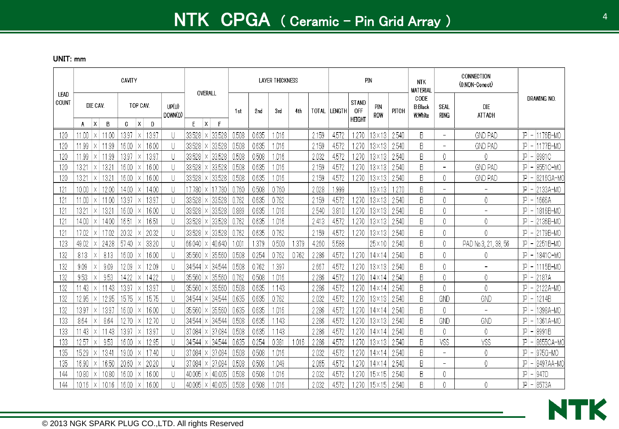|                        |                |               |                | CAVITY         |                           |                                   | OVERALL                                        |                |                | <b>LAYER THICKNESS</b> |       |                |                |                                      | PIN                             |                | <b>NTK</b><br><b>MATERIAL</b>     |                               | CONNECTION<br>(0:NON-Conect) |                                               |
|------------------------|----------------|---------------|----------------|----------------|---------------------------|-----------------------------------|------------------------------------------------|----------------|----------------|------------------------|-------|----------------|----------------|--------------------------------------|---------------------------------|----------------|-----------------------------------|-------------------------------|------------------------------|-----------------------------------------------|
| LEAD<br>COUNT          |                | DIE CAV.      |                |                | TOP CAV.                  | UP(U)<br>DOWN(D)                  |                                                | 1st            | 2nd            | 3rd                    | 4th   | TOTAL          | <b>LENGTH</b>  | STAND<br><b>OFF</b><br><b>HEIGHT</b> | PIN<br><b>ROW</b>               | PITCH          | CODE<br><b>B:Black</b><br>W:White | SEAL<br><b>RING</b>           | <b>DIE</b><br><b>ATTACH</b>  | DRAWING NO.                                   |
|                        | A              | $\mathsf{X}$  | B              | $\mathbf{c}$   | $\mathsf{X}$<br>D         |                                   | E.<br>$\mathsf{X}$<br>F                        |                |                |                        |       |                |                |                                      |                                 |                |                                   |                               |                              |                                               |
| 120                    | 11.00          | $\times$      | 11.00          | 13.97          | 13.97<br>Χ                | U                                 | 33.528<br>33.528                               | 0.508          | 0.635          | .016                   |       | 2.159          | 4.572          | .270                                 | $3 \times 13$                   | 2.540          | B                                 | $\overline{\phantom{0}}$      | <b>GND PAD</b>               | 1176B-MO<br>$ P $ –                           |
| 120                    | 11.99          | X             | 11.99          | 16.00          | 16.00<br>X                | U                                 | 33.528<br>33.528                               | 0.508          | 0.635          | 1.016                  |       | 2.159          | 4.572          | .270                                 | $3\times13$                     | 2.540          | B                                 | $\qquad \qquad -$             | <b>GND PAD</b>               | 1177B-MO<br>IP<br>$\overline{a}$              |
| 120                    | 11.99<br>13.21 | Χ             | 11.99<br>13.21 | 13.97<br>16.00 | 13.97                     | $\left\lfloor \right\rfloor$<br>U | 33.528<br>33.528                               | 0.508<br>0.508 | 0.508<br>0.635 | 1.016                  |       | 2.032<br>2.159 | 4.572<br>4.572 | .270<br>.270                         | $3 \times 13$<br>$13 \times 13$ | 2.540<br>2.540 | B<br>B                            | 0<br>$\overline{\phantom{0}}$ | 0<br><b>GND PAD</b>          | IP<br>8981C<br>$\overline{\phantom{a}}$<br>ΙP |
| 120<br>120             | 13.21          | Χ<br>$\times$ | 13.21          | 16.00          | 16.00<br>ΙX<br>16.00<br>Х | U                                 | 33.528<br>33.528<br>Χ<br>33.528<br>33.528<br>Χ | 0.508          | 0.635          | 1.016<br>1.016         |       | 2.159          | 4.572          | .270                                 | $3 \times 13$                   | 2.540          | B                                 | 0                             | <b>GND PAD</b>               | 8551C-MO<br>8216GA-MO<br>IP                   |
|                        |                |               | 12.00          | 14.00          | 14.00                     |                                   |                                                | 0.760          | 0.508          | 0.760                  |       |                | .999           |                                      | 13×13                           | .270           | B                                 | $\overline{\phantom{a}}$      |                              | ΙP                                            |
| 121<br>12 <sup>2</sup> | 10.00<br>11.00 | Х<br>Х        | 11.00          | 13.97          | Х<br>13.97<br>ΙX          | U<br>U                            | 7.780<br>17.780<br>X.<br>33.528<br>33.528      | 0.762          | 0.635          | 0.762                  |       | 2.028<br>2.159 | 4.572          | .270                                 | $13\times13$                    | 2.540          | B                                 | 0                             | 0                            | 2133A-MO<br>IP<br>1666A<br>$\overline{ }$     |
| 121                    | 13.21          | $\times$      | 13.21          | 16.00          | 16.00<br>Х                | U                                 | 33.528<br>33.528                               | 0.889          | 0.635          | 1.016                  |       | 2.540          | 3.810          | .270                                 | 13×13                           | 2.540          | B                                 | 0                             | $\overline{\phantom{a}}$     | ΙP<br>1816B-MO                                |
| 121                    | 14.00          | $\times$      | 14.00          | 16.51          | 16.51<br>X                | U                                 | 33.528<br>33.528                               | 0.762          | 0.635          | 1.016                  |       | 2.413          | 4.572          | .270                                 | 13×13.                          | 2.540          | B                                 | 0                             | 0                            | ΙP<br>2136B-MO<br>$\overline{a}$              |
| 121                    | 17.02          | X             | 17.02          | 20.32          | 20.32                     | U                                 | 33.528<br>33.528                               | 0.762          | 0.635          | 0.762                  |       | 2.159          | 4.572          | 270                                  | $3 \times 13$                   | 2.540          | B                                 | 0                             | 0                            | ΙP<br>2179B-MO                                |
| 123                    | 49.02          | X             | 24.28          | 57.40          | 33.20<br>X                | U                                 | 40.640<br>66.040<br>X.                         | .001           | .379           | 0.500                  | 1.379 | 4.260          | 5.588          |                                      | $25 \times 10$                  | 2.540          | B                                 | 0                             | PAD No.3, 21, 38, 56         | 2251B-MO<br>IP                                |
| 132                    | 8.13           | Χ             | 8.13           | 16.00          | 16.00<br>Χ                | U                                 | 35,560<br>35.560                               | 0.508          | 0.254          | 0.762                  | 0.762 | 2.286          | 4.572          | .270                                 | $4 \times 14$                   | 2.540          | B                                 | 0                             | 0                            | 1841C-MO<br>IP<br>$\overline{a}$              |
| 132                    | 9.09           | Χ             | 9.09           | 12.09          | 12.09<br>Х                | $\left\lfloor \right\rfloor$      | 34.544<br>34.544<br>х.                         | 0.508          | 0.762          | 1.397                  |       | 2.667          | 4.572          | .270                                 | $3\times13$                     | 2.540          | B                                 | 0                             | $\overline{a}$               | 1115B-MO<br>ΙP                                |
| 132                    | 9.53           | Χ             | 9.53           | 14.22          | 14.22<br>ΙX               | U                                 | 35.560<br>35.560                               | 0.762          | 0.508          | 1.016                  |       | 2.286          | 4.572          | 270                                  | $4\times14$                     | 2.540          | B                                 | 0                             | 0                            | $ P $ –<br>2187A                              |
| 132                    | .43            | $\times$      | 11.43          | 13.97          | 13.97<br>Χ                | U                                 | 35.560<br>35.560                               | 0.508          | 0.635          | 1.143                  |       | 2.286          | 4.572          | .270                                 | 14×14                           | 2.540          | B                                 | 0                             | 0                            | ΙP<br>2122A-MO<br>$\overline{\phantom{a}}$    |
| 132                    | 12.95          | $\times$      | -12.95         | 15.75          | 15.75<br>Χ                | U                                 | 34.544<br>34.544                               | 0.635          | 0.635          | 0.762                  |       | 2.032          | 4.572          | .270                                 | $3\times13$                     | 2.540          | B                                 | GND                           | GND                          | $ P  -  1214B$                                |
| 132                    | 13.97          | $\times$      | 13.97          | 16.00          | 16.00<br>X                | U                                 | 35.560<br>35.560                               | 0.635          | 0.635          | 1.016                  |       | 2.286          | 4.572          | 270                                  | $4\times14$                     | 2.540          | B                                 | 0                             | $\overline{\phantom{a}}$     | ΙP<br>1398A-MO                                |
| 133                    | 8.64           | $\times$      | 8.64           | 12.70          | 12.70<br>$\times$         | $\cup$                            | 34.544<br>34.544                               | 0.508          | 0.635          | 1.143                  |       | 2.286          | 4.572          | 270                                  | $3 \times 13$                   | 2.540          | B                                 | GND                           | <b>GND</b>                   | $ P $ –<br>1361A-MO                           |
| 133                    | 43             | $\times$      | .43            | 13.97          | 13.97<br>X                | $\left\lfloor \right\rfloor$      | 37.084<br>37.084<br>X                          | 0.508          | 0.635          | 1.143                  |       | 2.286          | 4.572          | .270                                 | $4\times14$                     | 2.540          | B                                 | 0                             | 0                            | ΙP<br>8991B                                   |
| 133                    | 12.57          | Χ             | 9.53           | 16.00          | 12.95<br>Χ                | $\left\lfloor \right\rfloor$      | $\times$ 34.544<br>34.544                      | 0.635          | 0.254          | 0.381                  | 1.016 | 2.286          | 4.572          | 270                                  | $3\times13$                     | 2.540          | B                                 | VSS                           | VSS                          | 8655CA-MO<br>IP                               |
| 135                    | 15.29          | $\times$      | 13.41          | 19.00          | 17.40<br>Χ                | U                                 | 37.084<br>37.084<br>X.                         | 0.508          | 0.508          | 1.016                  |       | 2.032          | 4.572          | .270                                 | $4\times14$                     | 2.540          | B                                 | $\equiv$                      | 0                            | 975G-MO<br>ΙP                                 |
| 135                    | 16.90          | Χ             | 16.50          | 20.60          | 20.20<br>Χ                | U                                 | 37.084<br>37.084<br>Χ                          | 0.508          | 0.508          | 1.049                  |       | 2.065          | 4.572          | 270                                  | $4 \times 14$                   | 2.540          | B                                 | $\overline{\phantom{a}}$      | 0                            | ΙP<br>8497AA-MO                               |
| 144                    | 10.80          | Χ             | 10.80          | 16.00          | 16.00<br>Χ                | U                                 | 40.005<br>40.005<br>Χ                          | 0.508          | 0.508          | 1.016                  |       | 2.032          | 4.572          | .270                                 | 15×15                           | 2.540          | B                                 | 0                             |                              | ΙP<br>947D<br>$\overline{\phantom{a}}$        |
| 144                    | 10.16          | X             | 10.16          | 16.00          | 16.00<br>Χ                | $\left\lfloor \right\rfloor$      | 40.005<br>$\times$ 40.005                      | 0.508          | 0.508          | 1.016                  |       | 2.032          | 4.572          | 270                                  | 15×15                           | 2.540          | B                                 | 0                             | 0                            | $ P  - 8573A$                                 |

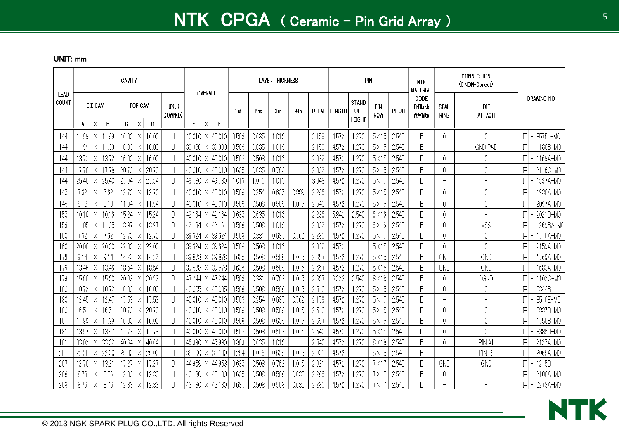|                 |               |                      |                | CAVITY         |              |                |                                   |                           | OVERALL                     |                |                | <b>LAYER THICKNESS</b> |       |                |                |                                      | <b>PIN</b>                       |                | <b>NTK</b><br><b>MATERIAL</b>     |                               | CONNECTION<br>(0:NON-Conect) |          |                       |
|-----------------|---------------|----------------------|----------------|----------------|--------------|----------------|-----------------------------------|---------------------------|-----------------------------|----------------|----------------|------------------------|-------|----------------|----------------|--------------------------------------|----------------------------------|----------------|-----------------------------------|-------------------------------|------------------------------|----------|-----------------------|
| LEAD<br>COUNT   |               | DIE CAV.             |                |                | TOP CAV.     |                | UP(U)<br>DOWN(D)                  |                           |                             | 1st            | 2nd            | 3rd                    | 4th   | TOTAL          | <b>LENGTH</b>  | <b>STAND</b><br>0FF<br><b>HEIGHT</b> | PIN<br>ROW                       | PITCH          | CODE<br><b>B:Black</b><br>W:White | SEAL<br><b>RING</b>           | <b>DIE</b><br><b>ATTACH</b>  |          | DRAWING NO.           |
|                 | A             | X                    | B              | C.             | $\mathsf{X}$ | D              |                                   | E.                        | $\mathsf{X}$<br>F           |                |                |                        |       |                |                |                                      |                                  |                |                                   |                               |                              |          |                       |
| 144             | 1.99          | X                    | 1.99           | 16.00          | $\times$     | 16.00          | U<br>$\left\lfloor \right\rfloor$ | 40.010                    | 40.010<br>X.                | 0.508          | 0.635          | 1.016                  |       | 2.159          | 4.572          | .270                                 | 15×15                            | 2.540          | B                                 | 0<br>$\overline{\phantom{0}}$ | 0                            | P <br> P | 8575L-MO              |
| 144             | .99           | $\times$             | 1.99           | 16.00          | Χ            | 16.00          |                                   | 39.980                    | 39.980<br>Χ                 | 0.508          | 0.635          | 1.016                  |       | 2.159          | 4.572          | .270                                 | 15×15                            | 2.540          | B                                 |                               | <b>GND PAD</b>               |          | 1180B-MO              |
| 144             | 13.72         | ΙX                   | 13.72          | 16.00          | X            | 16.00          | U                                 | 40.010                    | 40.010<br>X                 | 0.508          | 0.508          | 1.016                  |       | 2.032          | 4.572          | .270                                 | $15 \times 15$                   | 2.540          | B                                 | 0                             | 0                            | $ P $ –  | 1169A-MO              |
| 144             | 17.78         | Χ                    | 17.78          | 20.70          | Х            | 20.70          | U                                 | 40.010                    | 40.010                      | 0.635          | 0.635          | 0.762                  |       | 2.032          | 4.572          | .270                                 | $15 \times 15$                   | 2.540          | B                                 | 0<br>$\overline{\phantom{a}}$ | 0<br>$\overline{a}$          | $ P $ –  | 2116C-MC              |
| 144             | 25.40         | X                    | 25.40          | 27.94          | Х            | 27.94          | U                                 | 49.530                    | 49.530                      | 1.016          | 1.016          | 1.016                  |       | 3.048          | 4.572          | .270                                 | $15\times 15$                    | 2.540          | B                                 |                               |                              | P        | 1997A-MO              |
| 145             | 7.62          | Х                    | 7.62           | 12.70          | ΙX           | 12.70          | $\cup$                            | 40.010                    | 40.010<br>Х                 | 0.508          | 0.254          | 0.635                  | 0.889 | 2.286          | 4.572          | .270                                 | 15×15                            | 2.540          | B.                                | 0                             | 0                            | ΙPΙ      | 1938A-MO              |
| 145             | 8.13          | $\times$             | 8.13           | 11.94          | X            | 11.94          | U                                 | 40.010                    | 40.010<br>Χ                 | 0.508          | 0.508          | 0.508                  | 1.016 | 2.540          | 4.572          | .270                                 | $15\times15$                     | 2.540          | B                                 | 0                             | $\mathbf{0}$                 | ΙPΙ      | 2097A-MO              |
| 155             | 10.16         | $\times$<br>$\times$ | 10.16<br>11.05 | 15.24<br>13.97 | $\times$     | 15.24          | D<br>$\Box$                       | 42.164                    | 42.164<br>X                 | 0.635<br>0.508 | 0.635<br>0.508 | 1.016                  |       | 2.286          | 5.842<br>4.572 | 2.540<br>.270                        | $16 \times 16$<br>$16 \times 16$ | 2.540          | B<br>B                            | 0<br>0                        | $\overline{\phantom{0}}$     | P <br>P  | 2021B-MO              |
| 156<br>160      | 11.05<br>7.62 | $\times$             | 7.62           | 12.70          | Χ<br>X       | 13.97<br>12.70 | $\cup$                            | $42.164 \times$<br>39.624 | 42.164<br>39.624<br>ΙX.     | 0.508          | 0.381          | 1.016<br>0.635         | 0.762 | 2.032<br>2.286 | 4.572          | .270                                 | $15 \times 15$                   | 2.540<br>2.540 | B                                 | 0                             | VSS<br>$\mathbf 0$           | P        | 1269BA-M0<br>1716A-MO |
| 160             | 20.00         | Χ                    | 20.00          | 22.00          | $\times$     | 22.00          | $\cup$                            | 39.624                    | 39.624<br> X                | 0.508          | 0.508          | 1.016                  |       | 2.032          | 4.572          |                                      | $15\times15$                     | 2.540          | B                                 | 0                             | $\theta$                     | $ P $ –  | 2159A-MO              |
| 176             | 9.14          | $\times$             | 9.14           | 14.22          | Χ            | 14.22          | U                                 | 39.878                    | 39.878<br>Х                 | 0.635          | 0.508          | 0.508                  | 1.016 | 2.667          | 4.572          | .270                                 | $15\times15$                     | 2.540          | B                                 | GND                           | GND                          | $ P $ –  | 1769A-MO              |
| 176             | 13.46         | $\times$             | 13.46          | 18.54          | X            | 18.54          | $\left\lfloor \right\rfloor$      | 39.878                    | 39.878<br>$\times$          | 0.635          | 0.508          | 0.508                  | 1.016 | 2.667          | 4.572          | .270                                 | $15\times15$                     | 2.540          | B                                 | <b>GND</b>                    | GND                          | P        | 1683A-MO              |
| 179             | 15.60         | $\times$             | 15.60          | 20.93          | Х            | 20.93          | D                                 | 47.244                    | 47.244<br>Χ                 | 0.508          | 0.381          | 0.762                  | 1.016 | 2.667          | 6.223          | 2.540                                | 18×18                            | 2.540          | B                                 | 0                             | I GND                        | P        | 1102C-MO              |
| 180             | 10.72         | $\times$             | 10.72          | 16.00          |              | 16.00          | U                                 | 40.005                    | 40.005                      | 0.508          | 0.508          | 0.508                  | 1.016 | 2.540          | 4.572          | .270                                 | $15\times15$                     | 2.540          | B                                 | 0                             | 0                            | ΙPΙ      | 8344B                 |
| 180             | 12.45         | Χ                    | 12.45          | 17.53          | Х            | 17.53          | $\cup$                            | 40.010                    | 40.010                      | 0.508          | 0.254          | 0.635                  | 0.762 | 2.159          | 4.572          | .270                                 | 15×15                            | 2.540          | B                                 | $\overline{\phantom{0}}$      | $\overline{\phantom{a}}$     | P        | 8516E-MO              |
| 180             | 16.51         | $\times$             | 16.51          | 20.70          | Χ            | 20.70          | $\left\lfloor \right\rfloor$      | $40.010 \times$           | 40.010                      | 0.508          | 0.508          | 0.508                  | 1.016 | 2.540          | 4.572          | .270                                 | 15×15                            | 2.540          | B                                 | 0                             | 0                            | ΙPΙ      | 8837B-MO              |
| 181             | 11.99         | $\times$             | 11.99          | 16.00          | Χ            | 16.00          | $\left\lfloor \right\rfloor$      | $40.010 \times$           | 40.010                      | 0.508          | 0.508          | 0.635                  | 1.016 | 2.667          | 4.572          | .270                                 | $15 \times 15$                   | 2.540          | B                                 | 0                             | 0                            | P        | 1758B-MO              |
| 18.             | 13.97         | $\times$             | 13.97          | 17.78          | Χ            | 17.78          | $\cup$                            | 40.010                    | 40.010<br>$\chi$            | 0.508          | 0.508          | 0.508                  | 1.016 | 2.540          | 4.572          | .270                                 | $15\times 15$                    | 2.540          | B                                 | 0                             | $\theta$                     | P        | 8385B-MO              |
| 18.             | 33.02         | $\lambda$            | 33.02          | 40.64          | Χ            | 40.64          | $\cup$                            | 46.990                    | 46.990<br>Χ                 | 0.889          | 0.635          | 1.016                  |       | 2.540          | 4.572          | .270                                 | 18×18                            | 2.540          | B                                 | 0                             | PIN A1                       | P        | 2127A-MO              |
| 50.             | 22.20         | $\times$             | 22.20          | 29.00          | X            | 29.00          | U                                 | $38.100 \times$           | 38.100                      | 0.254          | .016           | 0.635                  | 1.016 | 2.921          | 4.572          |                                      | $15 \times 15$                   | 2.540          | B                                 | $\overline{\phantom{a}}$      | PIN F6                       | ΙP       | 2065A-MO              |
| 20 <sub>1</sub> | 12.70         | $\times$             | 13.21          | 17.27          | ΙX           | 17.27          | D                                 | 44.958                    | 44.958<br>$\vert$ X $\vert$ | 0.635          | 0.508          | 0.762                  | 1.016 | 2.921          | 4.572          | .270                                 | $17 \times 17$                   | 2.540          | B                                 | GND                           | GND                          | P        | 1215B                 |
| 208             | 8.76          | Χ                    | 8.76           | 12.83          | Χ            | 12.83          | $\cup$                            | 43.180                    | 43.180<br>Х                 | 0.635          | 0.508          | 0.508                  | 0.635 | 2.286          | 4.572          | .270                                 |                                  | 2.540          | B                                 | 0                             | $\overline{a}$               | P        | 2100A-MO              |
| 208             | 8.76          | Χ                    | 8.76           | 12.83          | ΙX           | 12.83          |                                   |                           | $43.180 \times 43.180$      | 0.635          | 0.508          | 0.508                  | 0.635 | 2.286          | 4.572          | .270                                 | 17 X 1                           | 2.540          | B                                 | $\overline{a}$                | $\overline{a}$               |          | $ P  - 2273A$ -MO     |